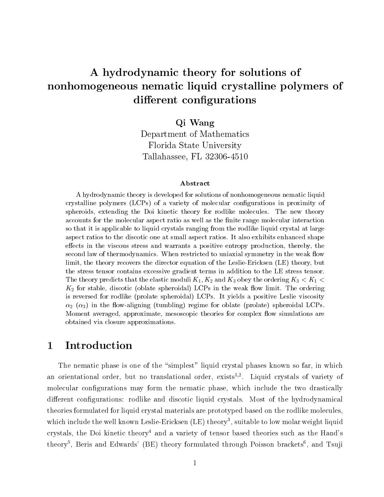# A hydrodynamic theory for solutions of nonhomogeneous nematic liquid crystalline polymers of different configurations

### Qi Wang

Department of Mathematics Florida State University Tallahassee, FL 32306-4510

#### Abstract

A hydrodynamic theory is developed for solutions of nonhomogeneous nematic liquid crystalline polymers (LCPs) of a variety of molecular congurations in proximity of spheroids, extending the Doi kinetic theory for rodlike molecules. The new theory accounts for the molecular aspect ratio as well as the finite range molecular interaction so that it is applicable to liquid crystals ranging from the rodlike liquid crystal at large aspect ratios to the discotic one at small aspect ratios. It also exhibits enhanced shape effects in the viscous stress and warrants a positive entropy production, thereby, the second law of thermodynamics. When restricted to uniaxial symmetry in the weak flow limit, the theory recovers the director equation of the Leslie-Ericksen (LE) theory, but the stress tensor contains excessive gradient terms in addition to the LE stress tensor. The theory predicts that the elastic moduli  $K_1, K_2$  and  $K_3$  obey the ordering  $K_3 < K_1 <$  $K_2$  for stable, discotic (oblate spheroidal) LCPs in the weak flow limit. The ordering is reversed for rodlike (prolate spheroidal) LCPs. It yields a positive Leslie viscosity  $\alpha_2$  ( $\alpha_3$ ) in the flow-aligning (tumbling) regime for oblate (prolate) spheroidal LCPs. Moment averaged, approximate, mesoscopic theories for complex flow simulations are obtained via closure approximations.

## 1 Introduction

The nematic phase is one of the "simplest" liquid crystal phases known so far, in which an orientational order, but no translational order, exists<sup>-,-</sup>. Eiquid crystals of variety of molecular configurations may form the nematic phase, which include the two drastically different configurations: rodlike and discotic liquid crystals. Most of the hydrodynamical theories formulated for liquid crystal materials are prototyped based on the rodlike molecules, which include the well known Leslie-Ericksen (LE) theory3, suitable to low molar weight liquid crystals, the Doi kinetic theory<sup>4</sup> and a variety of tensor based theories such as the Hand's theory<sup>5</sup>, Beris and Edwards' (BE) theory formulated through Poisson brackets<sup>6</sup>, and Tsuji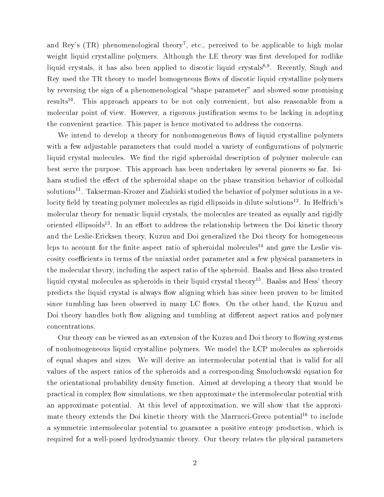and Rey's  $(TR)$  phenomenological theory<sup>7</sup>, etc., perceived to be applicable to high molar weight liquid crystalline polymers. Although the LE theory was first developed for rodlike  $\,$ iiquid crystals, it has also been applied to discotic liquid crystals $^{59}$ . Recently, Singh and Rey used the TR theory to model homogeneous flows of discotic liquid crystalline polymers by reversing the sign of a phenomenological "shape parameter" and showed some promising results<sup>--</sup>. This approach appears to be not only convenient, but also reasonable from a molecular point of view. However, a rigorous justification seems to be lacking in adopting the convenient practice. This paper is hence motivated to address the concerns.

We intend to develop a theory for nonhomogeneous flows of liquid crystalline polymers with a few adjustable parameters that could model a variety of configurations of polymeric liquid crystal molecules. We find the rigid spheroidal description of polymer molecule can best serve the purpose. This approach has been undertaken by several pioneers so far. Isihara studied the effect of the spheroidal shape on the phase transition behavior of colloidal solutions - Takserman-Krozer and Ziabicki studied the behavior of polymer solutions in a velocity field by treating polymer molecules as rigid ellipsoids in dilute solutions<sup>12</sup>. In Helfrich's molecular theory for nematic liquid crystals, the molecules are treated as equally and rigidly oriented empsoids". In an enort to address the relationship between the Doi kinetic theory and the Leslie-Ericksen theory, Kuzuu and Doigeneralized the Doi theory for homogeneous lcps to account for the finite aspect ratio of spheroidal molecules<sup>14</sup> and gave the Leslie viscosity coefficients in terms of the uniaxial order parameter and a few physical parameters in the molecular theory, including the aspect ratio of the spheroid. Baalss and Hess also treated liquid crystal molecules as spheroids in their liquid crystal theory<sup>15</sup>. Baalss and Hess' theory predicts the liquid crystal is always flow aligning which has since been proven to be limited since tumbling has been observed in many LC flows. On the other hand, the Kuzuu and Doi theory handles both flow aligning and tumbling at different aspect ratios and polymer concentrations.

Our theory can be viewed as an extension of the Kuzuu and Doi theory to flowing systems of nonhomogeneous liquid crystalline polymers. We model the LCP molecules as spheroids of equal shapes and sizes. We will derive an intermolecular potential that is valid for all values of the aspect ratios of the spheroids and a corresponding Smoluchowski equation for the orientational probability density function. Aimed at developing a theory that would be practical in complex flow simulations, we then approximate the intermolecular potential with an approximate potential. At this level of approximation, we will show that the approximate theory extends the Doi kinetic theory with the Marrucci-Greco potential<sup>16</sup> to include a symmetric intermolecular potential to guarantee a positive entropy production, which is required for a well-posed hydrodynamic theory. Our theory relates the physical parameters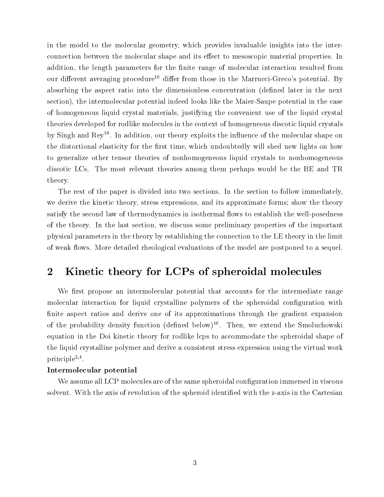in the model to the molecular geometry, which provides invaluable insights into the interconnection between the molecular shape and its effect to mesoscopic material properties. In addition, the length parameters for the finite range of molecular interaction resulted from our different averaging procedure<sup>16</sup> differ from those in the Marrucci-Greco's potential. By absorbing the aspect ratio into the dimensionless concentration (defined later in the next section), the intermolecular potential indeed looks like the Maier-Saupe potential in the case of homogeneous liquid crystal materials, justifying the convenient use of the liquid crystal theories developed for rodlike molecules in the context of homogeneous discotic liquid crystals by Singh and Rey''. In addition, our theory exploits the inhuence of the molecular shape on the distortional elasticity for the first time, which undoubtedly will shed new lights on how to generalize other tensor theories of nonhomogeneous liquid crystals to nonhomogeneous discotic LCs. The most relevant theories among them perhaps would be the BE and TR theory.

The rest of the paper is divided into two sections. In the section to follow immediately, we derive the kinetic theory, stress expressions, and its approximate forms; show the theory satisfy the second law of thermodynamics in isothermal flows to establish the well-posedness of the theory. In the last section, we discuss some preliminary properties of the important physical parameters in the theory by establishing the connection to the LE theory in the limit of weak flows. More detailed rheological evaluations of the model are postponed to a sequel.

## 2 Kinetic theory for LCPs of spheroidal molecules

We first propose an intermolecular potential that accounts for the intermediate range molecular interaction for liquid crystalline polymers of the spheroidal configuration with finite aspect ratios and derive one of its approximations through the gradient expansion of the probability density function (dened below)16 . Then, we extend the Smoluchowski equation in the Doi kinetic theory for rodlike lcps to accommodate the spheroidal shape of the liquid crystalline polymer and derive a consistent stress expression using the virtual work  $\text{prunciple}^{\rightarrow}$ .

#### Intermolecular potential

We assume all LCP molecules are of the same spheroidal configuration immersed in viscous solvent. With the axis of revolution of the spheroid identified with the z-axis in the Cartesian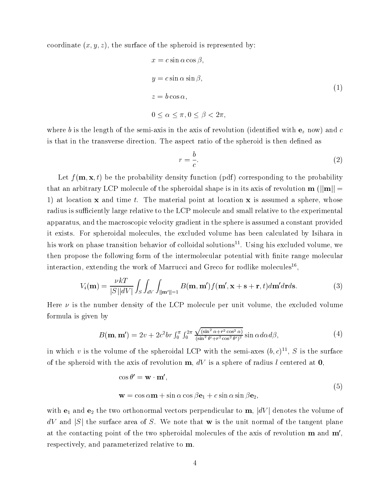coordinate  $(x, y, z)$ , the surface of the spheroid is represented by:

$$
x = c \sin \alpha \cos \beta,
$$
  
\n
$$
y = c \sin \alpha \sin \beta,
$$
  
\n
$$
z = b \cos \alpha,
$$
  
\n
$$
0 \le \alpha \le \pi, 0 \le \beta < 2\pi,
$$
\n
$$
(1)
$$

where b is the length of the semi-axis in the axis of revolution (identified with  $e_z$  now) and c is that in the transverse direction. The aspect ratio of the spheroid is then defined as

$$
r = \frac{b}{c}.\tag{2}
$$

Let  $f(\mathbf{m}, \mathbf{x}, t)$  be the probability density function (pdf) corresponding to the probability that an arbitrary LCP molecule of the spheroidal shape is in its axis of revolution  $\mathbf{m}$  ( $\|\mathbf{m}\|$  = 1) at location  $x$  and time t. The material point at location  $x$  is assumed a sphere, whose radius is sufficiently large relative to the LCP molecule and small relative to the experimental apparatus, and the macroscopic velocity gradient in the sphere is assumed a constant provided it exists. For spheroidal molecules, the excluded volume has been calculated by Isihara in his work on phase transition behavior of colloidal solutions11 . Using his excluded volume, we then propose the following form of the intermolecular potential with finite range molecular interaction, extending the work of Marrucci and Greco for rodlike molecules<sup>16</sup>,

$$
V_i(\mathbf{m}) = \frac{\nu kT}{|S||dV|} \int_S \int_{dV} \int_{\|\mathbf{m}'\|=1} B(\mathbf{m}, \mathbf{m}') f(\mathbf{m}', \mathbf{x} + \mathbf{s} + \mathbf{r}, t) d\mathbf{m}' d\mathbf{r} d\mathbf{s}.
$$
 (3)

Here  $\nu$  is the number density of the LCP molecule per unit volume, the excluded volume formula is given by

$$
B(\mathbf{m}, \mathbf{m}') = 2v + 2c^2br \int_0^{\pi} \int_0^{2\pi} \frac{\sqrt{(\sin^2 \alpha + r^2 \cos^2 \alpha)}}{(\sin^2 \theta' + r^2 \cos^2 \theta')^2} \sin \alpha d\alpha d\beta, \tag{4}
$$

In which v is the volume of the spheroidal LCP with the semi-axes  $(\theta, \mathcal{C})$  ,  $\beta$  is the surface of the spheroid with the axis of revolution  $\mathbf{m}$ ,  $dV$  is a sphere of radius l centered at 0.

$$
\cos \theta' = \mathbf{w} \cdot \mathbf{m}',
$$
  

$$
\mathbf{w} = \cos \alpha \mathbf{m} + \sin \alpha \cos \beta \mathbf{e}_1 + c \sin \alpha \sin \beta \mathbf{e}_2,
$$
 (5)

with  $e_1$  and  $e_2$  the two orthonormal vectors perpendicular to  $m$ ,  $|dV|$  denotes the volume of  $dV$  and  $|S|$  the surface area of S. We note that w is the unit normal of the tangent plane at the contacting point of the two spheroidal molecules of the axis of revolution  $\mathbf{m}$  and  $\mathbf{m}'$ , respectively, and parameterized relative to m.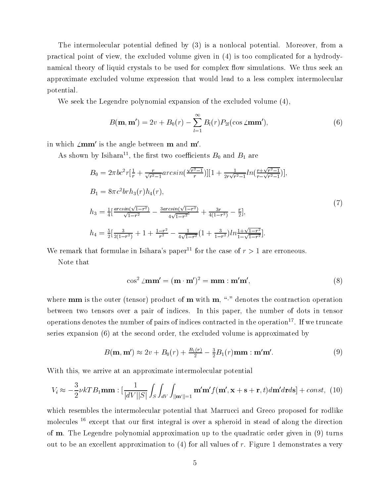The intermolecular potential defined by  $(3)$  is a nonlocal potential. Moreover, from a practical point of view, the excluded volume given in (4) is too complicated for a hydrodynamical theory of liquid crystals to be used for complex flow simulations. We thus seek an approximate excluded volume expression that would lead to a less complex intermolecular potential.

We seek the Legendre polynomial expansion of the excluded volume (4),

$$
B(\mathbf{m}, \mathbf{m}') = 2v + B_0(r) - \sum_{l=1}^{\infty} B_l(r) P_{2l}(\cos \angle \mathbf{m}\mathbf{m}'),
$$
 (6)

in which  $\mathbf{\angle mm}^{\prime}$  is the angle between m and m'.

As shown by Isinara<sup>--</sup>, the first two coefficients  $B_0$  and  $B_1$  are

$$
B_0 = 2\pi b c^2 r \left[ \frac{1}{r} + \frac{r}{\sqrt{r^2 - 1}} arcsin\left(\frac{\sqrt{r^2 - 1}}{r}\right) \right] \left[ 1 + \frac{1}{2r\sqrt{r^2 - 1}} ln\left(\frac{r + \sqrt{r^2 - 1}}{r - \sqrt{r^2 - 1}}\right) \right],
$$
  
\n
$$
B_1 = 8\pi c^2 br h_3(r) h_4(r),
$$
  
\n
$$
h_3 = \frac{1}{4} \left[ \frac{arcsin(\sqrt{1 - r^2})}{\sqrt{1 - r^2}} - \frac{3arcsin(\sqrt{1 - r^2})}{4\sqrt{1 - r^2}} + \frac{3r}{4(1 - r^2)} - \frac{r}{2} \right],
$$
  
\n
$$
h_4 = \frac{5}{2} \left[ \frac{3}{2(1 - r^2)} + 1 + \frac{1 - r^2}{r^2} - \frac{1}{4\sqrt{1 - r^2}} \left( 1 + \frac{3}{1 - r^2} \right) ln \frac{1 + \sqrt{1 - r^2}}{1 - \sqrt{1 - r^2}} \right].
$$
\n(7)

We remark that formulae in Isihara's paper<sup>11</sup> for the case of  $r > 1$  are erroneous.

Note that

$$
\cos^2 \angle \mathbf{mm'} = (\mathbf{m} \cdot \mathbf{m'})^2 = \mathbf{mm} : \mathbf{m'm'},
$$
\n(8)

where  $\mathbf{mm}$  is the outer (tensor) product of  $\mathbf{m}$  with  $\mathbf{m}$ , " $\cdot$ " denotes the contraction operation between two tensors over a pair of indices. In this paper, the number of dots in tensor operations denotes the number of pairs of indices contracted in the operation17 . If we truncate series expansion (6) at the second order, the excluded volume is approximated by

$$
B(\mathbf{m}, \mathbf{m}') \approx 2v + B_0(r) + \frac{B_1(r)}{2} - \frac{3}{2}B_1(r)\mathbf{m}\mathbf{m} : \mathbf{m}'\mathbf{m}'. \tag{9}
$$

With this, we arrive at an approximate intermolecular potential

$$
V_i \approx -\frac{3}{2} \nu k T B_1 \mathbf{m} \mathbf{m} : \left[ \frac{1}{|dV||S|} \int_S \int_{dV} \int_{\|\mathbf{m}'\|=1} \mathbf{m}' \mathbf{m}' f(\mathbf{m}', \mathbf{x} + \mathbf{s} + \mathbf{r}, t) d\mathbf{m}' d\mathbf{r} d\mathbf{s} \right] + const, (10)
$$

which resembles the intermolecular potential that Marrucci and Greco proposed for rodlike molecules  $16$  except that our first integral is over a spheroid in stead of along the direction of m. The Legendre polynomial approximation up to the quadratic order given in (9) turns out to be an excellent approximation to  $(4)$  for all values of r. Figure 1 demonstrates a very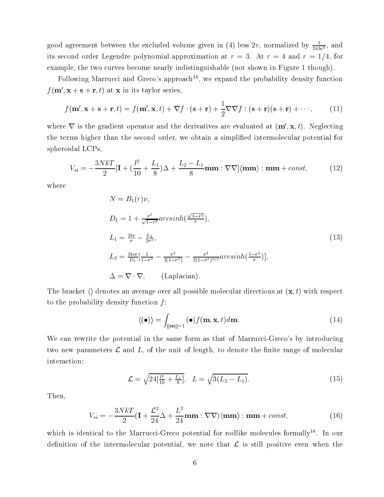good agreement between the excluded volume given in (4) less  $2v$ , normalized by  $\frac{1}{2\pi bc^2}$ , and its second order Legendre polynomial approximation at  $r = 3$ . At  $r = 4$  and  $r = 1/4$ , for example, the two curves become nearly indistinguishable (not shown in Figure 1 though).

Following Marrucci and Greco's approach<sup>16</sup>, we expand the probability density function  $f(\mathbf{m}', \mathbf{x} + \mathbf{s} + \mathbf{r}, t)$  at **x** in its taylor series,

$$
f(\mathbf{m}', \mathbf{x} + \mathbf{s} + \mathbf{r}, t) = f(\mathbf{m}', \mathbf{x}, t) + \nabla f \cdot (\mathbf{s} + \mathbf{r}) + \frac{1}{2} \nabla \nabla f : (\mathbf{s} + \mathbf{r})(\mathbf{s} + \mathbf{r}) + \cdots,
$$
 (11)

where  $\bf{v}$  is the gradient operator and the derivatives are evaluated at  $(\bf{m}$ ,  $\bf{x}$ ,  $t$ ). Neglecting the terms higher than the second order, we obtain a simplied intermolecular potential for spheroidal LCPs,

$$
V_{si} = -\frac{3NkT}{2}[\mathbf{I} + (\frac{l^2}{10} + \frac{L_1}{8})\Delta + \frac{L_2 - L_1}{8}\mathbf{mm} : \nabla\nabla] \langle \mathbf{mm} \rangle : \mathbf{mm} + const,
$$
 (12)

where

$$
N = B_1(r)\nu,
$$
  
\n
$$
D_1 = 1 + \frac{r^2}{\sqrt{1 - r^2}} \arcsinh\left(\frac{\sqrt{1 - r^2}}{r}\right),
$$
  
\n
$$
L_1 = \frac{2bc}{r} - \frac{L_2}{2r^2},
$$
  
\n
$$
L_2 = \frac{2bcr}{D_1} \left[\frac{1}{1 - r^2} - \frac{r^2}{2(1 - r^2)} - \frac{r^4}{2(1 - r^2)^{3/2}} \arcsinh\left(\frac{1 - r^2}{r}\right)\right],
$$
  
\n
$$
\Delta = \nabla \cdot \nabla,
$$
 (Laplacian).

The bracket  $\langle \rangle$  denotes an average over all possible molecular directions at  $(\mathbf{x}, t)$  with respect to the probability density function  $f$ :

$$
\langle (\bullet) \rangle = \int_{\|\mathbf{m}\|=1} (\bullet) f(\mathbf{m}, \mathbf{x}, t) d\mathbf{m}.
$$
 (14)

We can rewrite the potential in the same form as that of Marrucci-Greco's by introducing two new parameters L and L, of the unit of length, to denote the unit of  $\mathbf{A}$ interaction:

$$
\mathcal{L} = \sqrt{24[\frac{l^2}{10} + \frac{L_1}{8}]}, \quad L = \sqrt{3(L_2 - L_1)}.
$$
\n(15)

Then,

$$
V_{si} = -\frac{3NkT}{2}(\mathbf{I} + \frac{\mathcal{L}^2}{24}\Delta + \frac{L^2}{24}\mathbf{m}\mathbf{m} : \nabla\nabla)(\mathbf{m}\mathbf{m}) : \mathbf{m}\mathbf{m} + const,
$$
 (16)

which is identical to the Marrucci-Greco potential for rodlike molecules formally<sup>16</sup>. In our denition of the intermolecular potential, we note that L is still positive even when the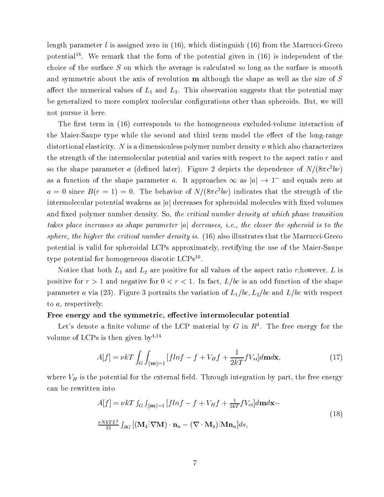length parameter l is assigned zero in  $(16)$ , which distinguish  $(16)$  from the Marrucci-Greco potential16 . We remark that the form of the potential given in (16) is independent of the choice of the surface S on which the average is calculated so long as the surface is smooth and symmetric about the axis of revolution m although the shape as well as the size of S affect the numerical values of  $L_1$  and  $L_2$ . This observation suggests that the potential may be generalized to more complex molecular configurations other than spheroids. But, we will not pursue it here.

The first term in  $(16)$  corresponds to the homogeneous excluded-volume interaction of the Maier-Saupe type while the second and third term model the effect of the long-range distortional elasticity. N is a dimensionless polymer number density  $\nu$  which also characterizes the strength of the intermolecular potential and varies with respect to the aspect ratio r and so the shape parameter a (defined later). Figure 2 depicts the dependence of  $N/(8\pi c^2b\nu)$ as a function of the shape parameter  $a$ . It approaches  $\infty$  as  $|a| \to 1$  and equals zero at  $a = 0$  since  $B(r = 1) = 0$ . The behavior of  $N/(8\pi c^2 b\nu)$  indicates that the strength of the intermolecular potential weakens as  $|a|$  decreases for spheroidal molecules with fixed volumes and fixed polymer number density. So, the critical number density at which phase transition takes place increases as shape parameter jaj decreases, i.e., the closer the spheroid is to the  $s$ phere, the higher the critical number density is. (10) also illustrates that the Marrucci-Greco  $\sigma$ potential is valid for spheroidal LCPs approximately, rectifying the use of the Maier-Saupe type potential for homogeneous discotic LCPs<sup>--</sup>.

Notice that both  $L_1$  and  $L_2$  are positive for all values of the aspect ratio r; however, L is positive for  $r > 1$  and negative for  $0 < r < 1$ . In fact,  $L/bc$  is an odd function of the shape parameter a via (23). Figure 3 portraits the variation of  $L_1/bc$ ,  $L_2/bc$  and  $L/bc$  with respect to a, respectively.

#### Free energy and the symmetric, effective intermolecular potential

Let's denote a finite volume of the LCP material by G in  $R<sup>3</sup>$ . The free energy for the volume of LCPs is then given by  $4,14$ 

$$
A[f] = \nu kT \int_G \int_{\|\mathbf{m}\| = 1} \left[ f\ln f - f + V_H f + \frac{1}{2kT} f V_{si} \right] d\mathbf{m} d\mathbf{x},\tag{17}
$$

where  $V_H$  is the potential for the external field. Through integration by part, the free energy can be rewritten into

$$
A[f] = \nu k T \int_G \int_{\|\mathbf{m}\|=1} [f ln f - f + V_H f + \frac{1}{2kT} f V_{ei}] d\mathbf{m} d\mathbf{x} -
$$
  

$$
\frac{\nu N k T L^2}{32} \int_{\partial G} [(\mathbf{M}_4 : \nabla \mathbf{M}) \cdot \mathbf{n}_n - (\nabla \cdot \mathbf{M}_4) : \mathbf{M} \mathbf{n}_n] ds,
$$
 (18)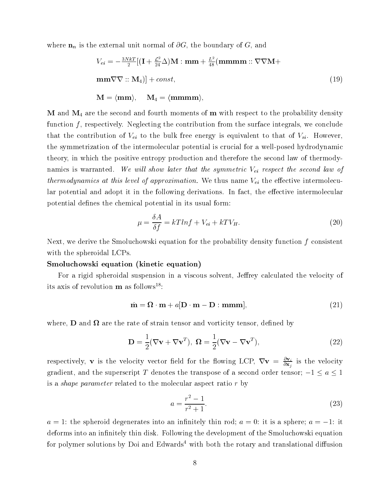where  $\mathbf{n}_n$  is the external unit normal of  $\partial G$ , the boundary of G, and

$$
V_{ei} = -\frac{3NkT}{2}[(\mathbf{I} + \frac{\mathcal{L}^2}{24}\Delta)\mathbf{M} : \mathbf{mm} + \frac{L^2}{48}(\mathbf{mmmm} :: \nabla\nabla\mathbf{M} + \mathbf{mm}\nabla\nabla :: \mathbf{M}_4)] + const,
$$
\n
$$
\mathbf{M} = \langle \mathbf{mm} \rangle, \quad \mathbf{M}_4 = \langle \mathbf{mmmm} \rangle,
$$
\n(19)

 $M$  and  $M_4$  are the second and fourth moments of  $m$  with respect to the probability density function  $f$ , respectively. Neglecting the contribution from the surface integrals, we conclude that the contribution of  $V_{ei}$  to the bulk free energy is equivalent to that of  $V_{si}$ . However, the symmetrization of the intermolecular potential is crucial for a well-posed hydrodynamic theory, in which the positive entropy production and therefore the second law of thermodynamics is warranted. We will show later that the symmetric  $V_{ei}$  respect the second law of thermodynamics at this level  $f$  approximation. We thus name  $\mathcal{L}_{\mathbf{G}}$  the extraction intermolecular potential and adopt it in the following derivations. In fact, the effective intermolecular potential defines the chemical potential in its usual form:

$$
\mu = \frac{\delta A}{\delta f} = kTlnf + V_{ei} + kTV_H.
$$
\n(20)

Next, we derive the Smoluchowski equation for the probability density function f consistent with the spheroidal LCPs.

#### Smoluchowski equation (kinetic equation)

For a rigid spheroidal suspension in a viscous solvent, Jeffrey calculated the velocity of its axis of revolution  $\mathbf m$  as follows<sup>18</sup>:

$$
\dot{\mathbf{m}} = \mathbf{\Omega} \cdot \mathbf{m} + a[\mathbf{D} \cdot \mathbf{m} - \mathbf{D} : \mathbf{m}\mathbf{m}\mathbf{m}], \tag{21}
$$

where  $\gamma$  denotes the rate of strain tensor and vortices the rate of strain tensor and volume  $\gamma$ 

$$
\mathbf{D} = \frac{1}{2} (\nabla \mathbf{v} + \nabla \mathbf{v}^T), \ \mathbf{\Omega} = \frac{1}{2} (\nabla \mathbf{v} - \nabla \mathbf{v}^T), \tag{22}
$$

respectively, **v** is the velocity vector field for the flowing LCP,  $V\mathbf{v} = \frac{\partial \mathbf{x}_i}{\partial \mathbf{x}_i}$  is the velocity gradient, and the superscript T denotes the transpose of a second order tensor;  $-1 \le a \le 1$ is a shape parameter related to the molecular aspect ratio r by

$$
a = \frac{r^2 - 1}{r^2 + 1}.\tag{23}
$$

 $a = 1$ : the spheroid degenerates into an infinitely thin rod;  $a = 0$ : it is a sphere;  $a = -1$ : it deforms into an infinitely thin disk. Following the development of the Smoluchowski equation for polymer solutions by Doi and  $Edwards<sup>4</sup>$  with both the rotary and translational diffusion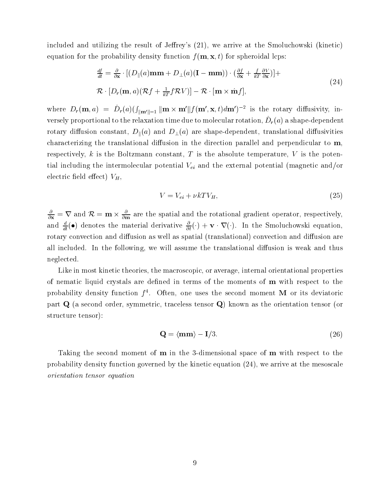included and utilizing the result of Jeffrey's  $(21)$ , we arrive at the Smoluchowski (kinetic) equation for the probability density function  $f(\mathbf{m}, \mathbf{x}, t)$  for spheroidal lcps:

$$
\frac{df}{dt} = \frac{\partial}{\partial \mathbf{x}} \cdot \left[ (D_{\parallel}(a)\mathbf{m}\mathbf{m} + D_{\perp}(a)(\mathbf{I} - \mathbf{m}\mathbf{m})) \cdot (\frac{\partial f}{\partial \mathbf{x}} + \frac{f}{kT} \frac{\partial V}{\partial \mathbf{x}}) \right] +
$$
\n
$$
\mathcal{R} \cdot \left[ D_r(\mathbf{m}, a)(\mathcal{R}f + \frac{1}{kT}f\mathcal{R}V) \right] - \mathcal{R} \cdot [\mathbf{m} \times \dot{\mathbf{m}}f],
$$
\n(24)

where  $D_r(\mathbf{m}, a) = D_r(a)(\int_{\|\mathbf{m}'\|=1} \|\mathbf{m} \times \mathbf{m}'\| f(\mathbf{m}', \mathbf{x}, t) d\mathbf{m}'\{-b\}$  is the rotary diffusivity, inversely proportional to the relaxation time due to molecular rotation,  $D_r(u)$  a shape-dependent rotary diffusion constant,  $D_{\parallel}(a)$  and  $D_{\perp}(a)$  are shape-dependent, translational diffusivities characterizing the translational diffusion in the direction parallel and perpendicular to  $m$ , respectively, k is the Boltzmann constant, T is the absolute temperature, V is the potential including the intermolecular potential  $V_{ei}$  and the external potential (magnetic and/or electric field effect)  $V_H$ ,

$$
V = V_{ei} + \nu k T V_H,\tag{25}
$$

 $\overline{\partial x}$  = V and  $\mathcal{R}$  = m  $\times$   $\overline{\partial m}$  are the spatial and the rotational gradient operator, respectively, and  $\frac{d}{dt}(\bullet)$  denotes the material derivative  $\frac{d}{dt}(\cdot) + \mathbf{v} \cdot \mathbf{v}(\cdot)$ . In the Smoluchowski equation, rotary convection and diffusion as well as spatial (translational) convection and diffusion are all included. In the following, we will assume the translational diffusion is weak and thus neglected.

Like in most kinetic theories, the macroscopic, or average, internal orientational properties of nematic liquid crystals are defined in terms of the moments of **m** with respect to the probability density function *f* . Often, one uses the second moment **M** or its deviatoric part Q (a second order, symmetric, traceless tensor Q) known as the orientation tensor (or structure tensor):

$$
\mathbf{Q} = \langle \mathbf{mm} \rangle - \mathbf{I}/3. \tag{26}
$$

Taking the second moment of **m** in the 3-dimensional space of **m** with respect to the probability density function governed by the kinetic equation (24), we arrive at the mesoscale orientation tensor equation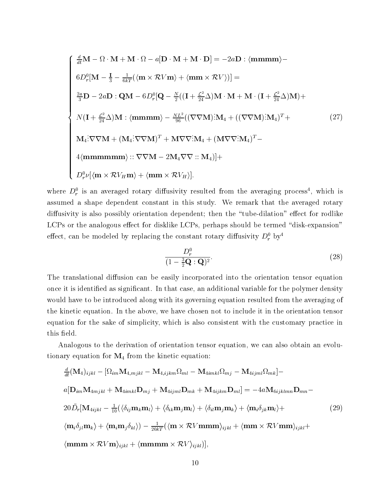$$
\begin{cases}\n\frac{d}{dt}\mathbf{M} - \Omega \cdot \mathbf{M} + \mathbf{M} \cdot \Omega - a[\mathbf{D} \cdot \mathbf{M} + \mathbf{M} \cdot \mathbf{D}] = -2a\mathbf{D} : \langle \mathbf{m}\mathbf{m}\mathbf{m}\mathbf{m}\rangle - \\
6D_r^0[\mathbf{M} - \frac{I}{3} - \frac{1}{6kT}(\langle \mathbf{m} \times \mathcal{R}V\mathbf{m}\rangle + \langle \mathbf{m}\mathbf{m} \times \mathcal{R}V\rangle)] = \\
\frac{2a}{3}\mathbf{D} - 2a\mathbf{D} : \mathbf{Q}\mathbf{M} - 6D_r^0[\mathbf{Q} - \frac{N}{2}((\mathbf{I} + \frac{\mathcal{L}^2}{24}\Delta)\mathbf{M} \cdot \mathbf{M} + \mathbf{M} \cdot (\mathbf{I} + \frac{\mathcal{L}^2}{24}\Delta)\mathbf{M}) + \\
N(\mathbf{I} + \frac{\mathcal{L}^2}{24}\Delta)\mathbf{M} : \langle \mathbf{m}\mathbf{m}\mathbf{m}\mathbf{m}\rangle - \frac{NL^2}{96}((\nabla\nabla\mathbf{M})\mathbf{M}_4 + ((\nabla\nabla\mathbf{M})\mathbf{M}_4)^T + \\
\mathbf{M}_4\mathbf{N}\nabla\mathbf{M} + (\mathbf{M}_4\mathbf{N}\nabla\nabla\mathbf{M})^T + \mathbf{M}\nabla\nabla^2\mathbf{M}_4 + (\mathbf{M}\nabla\nabla^2\mathbf{M}_4)^T - \\
4\langle \mathbf{m}\mathbf{m}\mathbf{m}\mathbf{m}\mathbf{m}\mathbf{m}\rangle :: \nabla\nabla\mathbf{M} - 2\mathbf{M}_4\nabla\nabla :: \mathbf{M}_4)] + \\
D_r^0\nu[\langle \mathbf{m} \times \mathcal{R}V_H \mathbf{m}\rangle + \langle \mathbf{m}\mathbf{m} \times \mathcal{R}V_H \rangle].\n\end{cases} (27)
$$

where  $D_r$  is an averaged rotary dimusivity resulted from the averaging process , which is assumed a shape dependent constant in this study. We remark that the averaged rotary diffusivity is also possibly orientation dependent; then the "tube-dilation" effect for rodlike  $LCPs$  or the analogous effect for disklike  $LCPs$ , perhaps should be termed "disk-expansion" enect, can be modeled by replacing the constant rotary dimusivity  $D_r^+$  by  $\overline{\phantom{a}}$ 

$$
\frac{D_r^0}{(1 - \frac{3}{2}\mathbf{Q} : \mathbf{Q})^2}.\tag{28}
$$

The translational diffusion can be easily incorporated into the orientation tensor equation once it is identified as significant. In that case, an additional variable for the polymer density would have to be introduced along with its governing equation resulted from the averaging of the kinetic equation. In the above, we have chosen not to include it in the orientation tensor equation for the sake of simplicity, which is also consistent with the customary practice in this field.

Analogous to the derivation of orientation tensor equation, we can also obtain an evolutionary equation for  $M_4$  from the kinetic equation:

$$
\frac{d}{dt}(\mathbf{M}_{4})_{ijkl} - [\Omega_{im}\mathbf{M}_{4,mjkl} - \mathbf{M}_{4,ijkm}\Omega_{ml} - \mathbf{M}_{4imkl}\Omega_{mj} - \mathbf{M}_{4ijml}\Omega_{mk}] -
$$
\n
$$
a[\mathbf{D}_{im}\mathbf{M}_{4mjkl} + \mathbf{M}_{4imkl}\mathbf{D}_{mj} + \mathbf{M}_{4ijml}\mathbf{D}_{mk} + \mathbf{M}_{4ijkm}\mathbf{D}_{ml}] = -4a\mathbf{M}_{6ijklmn}\mathbf{D}_{mn} -
$$
\n
$$
20\bar{D}_{r}[\mathbf{M}_{4ijkl} - \frac{1}{10}(\langle\delta_{ij}\mathbf{m}_{k}\mathbf{m}_{l}\rangle + \langle\delta_{ik}\mathbf{m}_{j}\mathbf{m}_{l}\rangle + \langle\delta_{il}\mathbf{m}_{j}\mathbf{m}_{k}\rangle + \langle\mathbf{m}_{i}\delta_{jk}\mathbf{m}_{l}\rangle +
$$
\n
$$
\langle\mathbf{m}_{i}\delta_{j\ell}\mathbf{m}_{k}\rangle + \langle\mathbf{m}_{i}\mathbf{m}_{j}\delta_{kl}\rangle) - \frac{1}{20kT}(\langle\mathbf{m}\times\mathcal{R}V\mathbf{m}\mathbf{m}\rangle_{ijkl} + \langle\mathbf{m}\mathbf{m}\times\mathcal{R}V\mathbf{m}\mathbf{m}\rangle_{ijkl} +
$$
\n
$$
\langle\mathbf{m}\mathbf{m}\times\mathcal{R}V\mathbf{m}\rangle_{ijkl} + \langle\mathbf{m}\mathbf{m}\mathbf{m}\times\mathcal{R}V\rangle_{ijkl})],
$$
\n(29)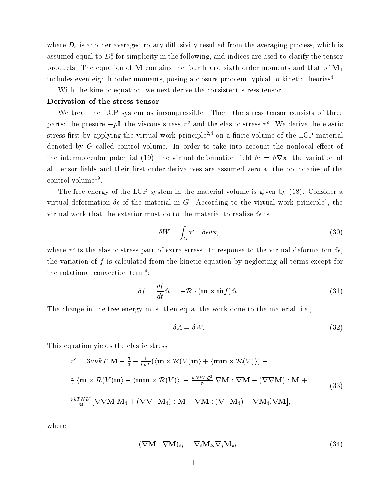where  $D_r$  is another averaged rotary dimusivity resulted from the averaging process, which is assumed equal to  $D_r$  for simplicity in the following, and indices are used to clarify the tensor products. The equation of M contains the fourth and sixth order moments and that of  $M_4$ includes even eighth order moments, posing a closure problem typical to kinetic theories<sup>4</sup>.

With the kinetic equation, we next derive the consistent stress tensor.

#### Derivation of the stress tensor

We treat the LCP system as incompressible. Then, the stress tensor consists of three parts: the presure  $-p1$ , the viscous stress 7 and the elastic stress 7. We derive the elastic stress first by applying the virtual work principle<sup>2,4</sup> on a finite volume of the LCP material denoted by  $G$  called control volume. In order to take into account the nonlocal effect of the intermolecular potential (19), the virtual deformation field  $\delta \epsilon = \delta \nabla \mathbf{x}$ , the variation of all tensor fields and their first order derivatives are assumed zero at the boundaries of the control volume .

The free energy of the LCP system in the material volume is given by (18). Consider a virtual deformation  $o\epsilon$  of the material in  $G$ . According to the virtual work principle<sup>-</sup>, the virtual work that the exterior must do to the material to realize  $\delta \epsilon$  is

$$
\delta W = \int_{G} \tau^{e} : \delta \epsilon d\mathbf{x},\tag{30}
$$

where  $\tau^*$  is the elastic stress part of extra stress. In response to the virtual deformation  $o\epsilon,$ the variation of f is calculated from the kinetic equation by neglecting all terms except for the rotational convection term<sup>4</sup>:

$$
\delta f = \frac{df}{dt}\delta t = -\mathcal{R} \cdot (\mathbf{m} \times \dot{\mathbf{m}}f)\delta t.
$$
\n(31)

The change in the free energy must then equal the work done to the material, i.e.,

$$
\delta A = \delta W. \tag{32}
$$

This equation yields the elastic stress,

$$
\tau^{e} = 3a\nu kT[\mathbf{M} - \frac{\mathbf{I}}{3} - \frac{1}{6kT} (\langle \mathbf{m} \times \mathcal{R}(V)\mathbf{m} \rangle + \langle \mathbf{m}\mathbf{m} \times \mathcal{R}(V) \rangle)] -
$$
  
\n
$$
\frac{\nu}{2} [\langle \mathbf{m} \times \mathcal{R}(V)\mathbf{m} \rangle - \langle \mathbf{m}\mathbf{m} \times \mathcal{R}(V) \rangle] - \frac{\nu N k T \mathcal{L}^{2}}{32} [\nabla \mathbf{M} : \nabla \mathbf{M} - (\nabla \nabla \mathbf{M}) : \mathbf{M}] +
$$
  
\n
$$
\frac{\nu k T N L^{2}}{64} [\nabla \nabla \mathbf{M} : \mathbf{M}_{4} + (\nabla \nabla \cdot \mathbf{M}_{4}) : \mathbf{M} - \nabla \mathbf{M} : (\nabla \cdot \mathbf{M}_{4}) - \nabla \mathbf{M}_{4} : \nabla \mathbf{M}],
$$
\n(33)

where

$$
(\nabla \mathbf{M} : \nabla \mathbf{M})_{ij} = \nabla_i \mathbf{M}_{kl} \nabla_j \mathbf{M}_{kl}.
$$
\n(34)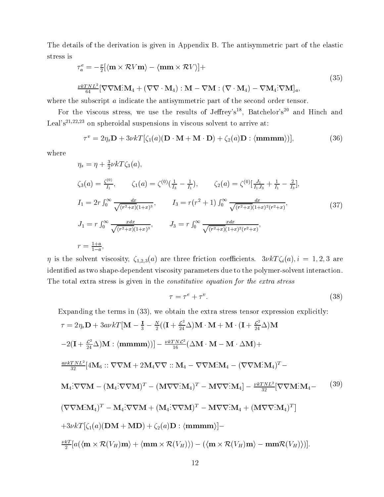The details of the derivation is given in Appendix B. The antisymmetric part of the elastic stress is

$$
\tau_a^e = -\frac{\nu}{2} [\langle \mathbf{m} \times \mathcal{R} V \mathbf{m} \rangle - \langle \mathbf{m} \mathbf{m} \times \mathcal{R} V \rangle] +
$$
\n
$$
\frac{\nu k T N L^2}{64} [\nabla \nabla \mathbf{M} \cdot \mathbf{M}_4 + (\nabla \nabla \cdot \mathbf{M}_4) \cdot \mathbf{M} - \nabla \mathbf{M} \cdot (\nabla \cdot \mathbf{M}_4) - \nabla \mathbf{M}_4 \cdot \nabla \mathbf{M}]_a,
$$
\n(35)

where the subscript a indicate the antisymmetric part of the second order tensor.

For the viscous stress, we use the results of Jeffrey's<sup>18</sup>, Batchelor's<sup>20</sup> and Hinch and Leal's<sup>21,22,23</sup> on spheroidal suspensions in viscous solvent to arrive at:

$$
\tau^v = 2\eta_s \mathbf{D} + 3\nu k T [\zeta_1(a)(\mathbf{D} \cdot \mathbf{M} + \mathbf{M} \cdot \mathbf{D}) + \zeta_2(a)\mathbf{D} : \langle \mathbf{mmmm} \rangle)], \tag{36}
$$

where

$$
\eta_s = \eta + \frac{3}{2} \nu k T \zeta_3(a),
$$
  
\n
$$
\zeta_3(a) = \frac{\zeta^{(0)}}{I_1}, \qquad \zeta_1(a) = \zeta^{(0)} \left(\frac{1}{I_3} - \frac{1}{I_1}\right), \qquad \zeta_2(a) = \zeta^{(0)} \left[\frac{J_1}{I_1 J_3} + \frac{1}{I_1} - \frac{2}{I_3}\right],
$$
  
\n
$$
I_1 = 2r \int_0^\infty \frac{dx}{\sqrt{(r^2 + x)(1 + x)^3}}, \qquad I_3 = r(r^2 + 1) \int_0^\infty \frac{dx}{\sqrt{(r^2 + x)(1 + x)^2 (r^2 + x)}},
$$
  
\n
$$
J_1 = r \int_0^\infty \frac{xdx}{\sqrt{(r^2 + x)(1 + x)^3}}, \qquad J_3 = r \int_0^\infty \frac{xdx}{\sqrt{(r^2 + x)(1 + x)^2 (r^2 + x)}},
$$
  
\n
$$
r = \frac{1 + a}{1 - a},
$$
  
\n(37)

 $\eta$  is the solvent viscosity,  $\zeta_{1,2,3}(a)$  are three friction coefficients.  $3\nu kT\zeta_i(a), i = 1, 2, 3$  are identied as two shape-dependent viscosity parameters due to the polymer-solvent interaction. The total extra stress is given in the *constitutive equation for the extra stress* 

$$
\tau = \tau^e + \tau^v. \tag{38}
$$

Expanding the terms in (33), we obtain the extra stress tensor expression explicitly:  $\tau = 2\eta_s \mathbf{D} + 3a\nu kT[\mathbf{M} - \frac{1}{3} - \frac{N}{2}((\mathbf{I} + \frac{E}{24}\Delta)\mathbf{M}\cdot\mathbf{M} + \mathbf{M}\cdot(\mathbf{I} + \frac{E}{24}\Delta)\mathbf{M}]$  $2(1+\frac{27}{24}\Delta)M$  :  $\langle \mathbf{mmmm}\rangle)$   $-\frac{\nu\kappa T N L^2}{16}(\Delta M\cdot\mathbf{M}-\mathbf{M}\cdot\Delta \mathbf{M})+$  $\frac{a \nu \kappa T N L^2}{32} [4 {\rm {\rm\bf M}}_6\,::\,\nabla\nabla {\rm{\rm\bf M}} + 2 {\rm {\rm\bf M}}_4 \nabla\nabla\,::{\rm {\rm\bf M}}_4\,-\,\nabla\nabla {\rm{\rm\bf M}}\,:\!{\rm\bf M}}_4 - (\nabla\nabla{\rm{\rm\bf M}}\,:\!{\rm{\bf M}}_4)^T \mathbf{M}_4\!\!:\!\!\nabla\nabla\mathbf{M}-(\mathbf{M}_4\!\!:\!\nabla\nabla\mathbf{M})^T-(\mathbf{M}\nabla\nabla\!\cdot\!\mathbf{M}_4)^T-\mathbf{M}\nabla\nabla\!\cdot\!\mathbf{M}_4]-\frac{\nu\kappa\,I\,N\,L^2}{32}[\nabla\nabla\mathbf{M}\!\cdot\!\mathbf{M}_4-\qquad \text{(39)}$  $(\nabla\nabla\mathbf{M}\!:\!\mathbf{M}_4)^T-\mathbf{M}_4\!:\!\nabla\nabla\mathbf{M}+(\mathbf{M}_4\!:\!\nabla\nabla\mathbf{M})^T$  –  $\cdot {\bf \nabla} {\bf \nabla} {\bf M})^T - {\bf M} {\bf \nabla} {\bf \nabla} {\cdot} {\bf M}_4 + ({\bf M} {\bf \nabla} {\bf \nabla} {\cdot} {\bf M}_4)^T\|_F$ and the contract of the contract of the contract of the contract of the contract of  $+3\nu kT [\zeta_1(a)(\mathbf{DM}+\mathbf{MD})+\zeta_2(a)\mathbf{D}:\langle\mathbf{mmm}\rangle] \frac{1}{2}[\alpha(\langle \mathbf{m} \times \mathcal{K}(V_H) \mathbf{m}\rangle + \langle \mathbf{m}\mathbf{m} \times \mathcal{K}(V_H)\rangle) - (\langle \mathbf{m} \times \mathcal{K}(V_H) \mathbf{m}\rangle - \mathbf{m}\mathbf{m}\mathcal{K}(V_H)\rangle)].$ (39)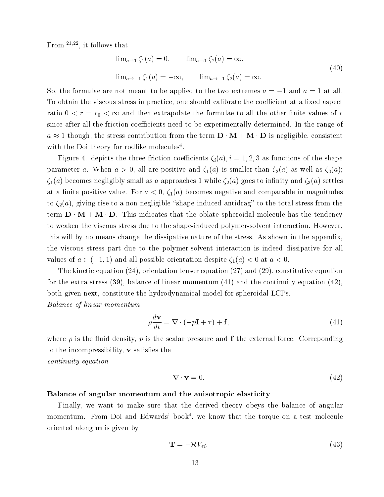From  $2^{1,22}$ , it follows that

$$
\lim_{a \to 1} \zeta_1(a) = 0, \qquad \lim_{a \to 1} \zeta_2(a) = \infty,
$$
  

$$
\lim_{a \to -1} \zeta_1(a) = -\infty, \qquad \lim_{a \to -1} \zeta_2(a) = \infty.
$$
 (40)

So, the formulae are not meant to be applied to the two extremes  $a = -1$  and  $a = 1$  at all. To obtain the viscous stress in practice, one should calibrate the coefficient at a fixed aspect ratio  $0 < r = r_0 < \infty$  and then extrapolate the formulae to all the other finite values of r since after all the friction coefficients need to be experimentally determined. In the range of a 1 though, the stress contribution from the term D  $M$  -  $M$  is negligible, consistent  $M$  is negligible, consistent  $M$ with the Doi theory for rodlike molecules<sup>-</sup>.

Figure 4. depicts the three friction coefficients  $\zeta_i(a), i = 1, 2, 3$  as functions of the shape parameter a. When  $a > 0$ , all are positive and  $\zeta_1(a)$  is smaller than  $\zeta_2(a)$  as well as  $\zeta_3(a)$ ;  $\zeta_1(a)$  becomes negligibly small as a approaches 1 while  $\zeta_2(a)$  goes to infinity and  $\zeta_3(a)$  settles at a finite positive value. For  $a < 0$ ,  $\zeta_1(a)$  becomes negative and comparable in magnitudes to  $\zeta_2(a)$ , giving rise to a non-negligible "shape-induced-antidrag" to the total stress from the term D <sup>M</sup> <sup>+</sup> <sup>M</sup> D. This indicates that the oblate spheroidal molecule has the tendency to weaken the viscous stress due to the shape-induced polymer-solvent interaction. However, this will by no means change the dissipative nature of the stress. As shown in the appendix, the viscous stress part due to the polymer-solvent interaction is indeed dissipative for all values of  $a \in (-1, 1)$  and all possible orientation despite  $\zeta_1(a) < 0$  at  $a < 0$ .

The kinetic equation (24), orientation tensor equation (27) and (29), constitutive equation for the extra stress (39), balance of linear momentum (41) and the continuity equation (42), both given next, constitute the hydrodynamical model for spheroidal LCPs.

$$
\rho \frac{d\mathbf{v}}{dt} = \nabla \cdot (-p\mathbf{I} + \tau) + \mathbf{f},\tag{41}
$$

where  $\rho$  is the fluid density, p is the scalar pressure and **f** the external force. Correponding to the incompressibility,  $\bf{v}$  satisfies the

> $\nabla \cdot \mathbf{v} = 0$  $\sim$   $(1-2)$

#### Balance of angular momentum and the anisotropic elasticity

Balance of the state of the state of the state of the state of the state of the state of the state of the state of the state of the state of the state of the state of the state of the state of the state of the state of the

control were equation to the control of the control of the control of the control of the control of the control of the control of the control of the control of the control of the control of the control of the control of th

Finally, we want to make sure that the derived theory obeys the balance of angular momentum. From Doi and Edwards' book<sup>4</sup>, we know that the torque on a test molecule oriented along m is given by

$$
\mathbf{T} = -\mathcal{R}V_{ei},\tag{43}
$$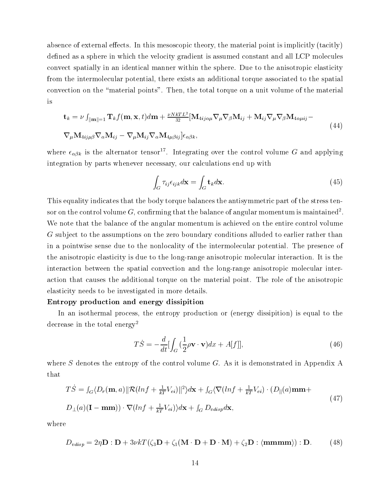absence of external effects. In this mesoscopic theory, the material point is implicitly (tacitly) defined as a sphere in which the velocity gradient is assumed constant and all LCP molecules convect spatially in an identical manner within the sphere. Due to the anisotropic elasticity from the intermolecular potential, there exists an additional torque associated to the spatial convection on the \material points". Then, the total torque on a unit volume of the material

$$
\mathbf{t}_{k} = \nu \int_{\|\mathbf{m}\|=1} \mathbf{T}_{k} f(\mathbf{m}, \mathbf{x}, t) d\mathbf{m} + \frac{\nu N k T L^{2}}{32} [\mathbf{M}_{4ij\alpha\mu} \nabla_{\mu} \nabla_{\beta} \mathbf{M}_{ij} + \mathbf{M}_{ij} \nabla_{\mu} \nabla_{\beta} \mathbf{M}_{4\alpha\mu ij} - \nabla_{\mu} \mathbf{M}_{4ij\mu\beta} \nabla_{\alpha} \mathbf{M}_{ij} - \nabla_{\mu} \mathbf{M}_{ij} \nabla_{\alpha} \mathbf{M}_{4\mu\beta ij} \epsilon_{\alpha\beta k},
$$
\n(44)

where  $\epsilon_{\alpha\beta k}$  is the alternator tensor<sup>17</sup>. Integrating over the control volume G and applying integration by parts whenever necessary, our calculations end up with

$$
\int_{G} \tau_{ij} \epsilon_{ijk} d\mathbf{x} = \int_{G} \mathbf{t}_{k} d\mathbf{x}.
$$
\n(45)

This equality indicates that the body torque balances the antisymmetric part of the stress tensor on the control volume  $G$ , confirming that the balance of angular momentum is maintained<sup>2</sup>. We note that the balance of the angular momentum is achieved on the entire control volume G subject to the assumptions on the zero boundary conditions alluded to earlier rather than in a pointwise sense due to the nonlocality of the intermolecular potential. The presence of the anisotropic elasticity is due to the long-range anisotropic molecular interaction. It is the interaction between the spatial convection and the long-range anisotropic molecular interaction that causes the additional torque on the material point. The role of the anisotropic elasticity needs to be investigated in more details.

#### Entropy production and energy dissipition

In an isothermal process, the entropy production or (energy dissipition) is equal to the decrease in the total energy<sup>2</sup>

$$
T\dot{S} = -\frac{d}{dt} \left[ \int_G \left( \frac{1}{2} \rho \mathbf{v} \cdot \mathbf{v} \right) dx + A[f] \right],\tag{46}
$$

where  $S$  denotes the entropy of the control volume  $G$ . As it is demonstrated in Appendix A that

$$
T\dot{S} = \int_G \langle D_r(\mathbf{m}, a) || \mathcal{R}(lnf + \frac{1}{kT}V_{ei}) ||^2 \rangle d\mathbf{x} + \int_G \langle \nabla(lnf + \frac{1}{kT}V_{ei}) \cdot (D_{||}(a)\mathbf{m}\mathbf{m} + D_{\perp}(a)(\mathbf{I} - \mathbf{m}\mathbf{m})) \cdot \nabla(lnf + \frac{1}{kT}V_{ei}) \rangle d\mathbf{x} + \int_G D_{vdisp}d\mathbf{x},
$$
\n(47)

where

$$
D_{vdisp} = 2\eta \mathbf{D} : \mathbf{D} + 3\nu kT(\zeta_3 \mathbf{D} + \zeta_1 (\mathbf{M} \cdot \mathbf{D} + \mathbf{D} \cdot \mathbf{M}) + \zeta_2 \mathbf{D} : \langle \mathbf{mmmm} \rangle) : \mathbf{D}. \tag{48}
$$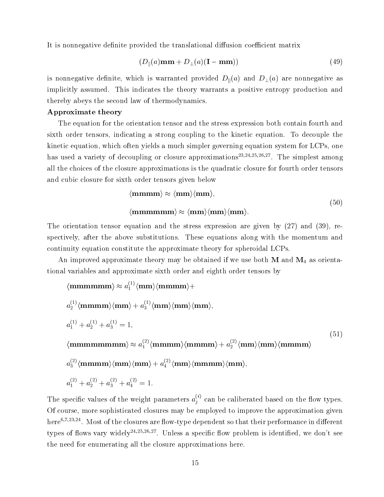It is nonnegative definite provided the translational diffusion coefficient matrix

$$
(D_{\parallel}(a)\mathbf{m}\mathbf{m} + D_{\perp}(a)(\mathbf{I} - \mathbf{m}\mathbf{m})) \tag{49}
$$

is nonnegative definite, which is warranted provided  $D_{\parallel}(a)$  and  $D_{\perp}(a)$  are nonnegative as implicitly assumed. This indicates the theory warrants a positive entropy production and thereby abeys the second law of thermodynamics.

#### Approximate theory

The equation for the orientation tensor and the stress expression both contain fourth and sixth order tensors, indicating a strong coupling to the kinetic equation. To decouple the kinetic equation, which often yields a much simpler governing equation system for LCPs, one has used a variety of decoupling or closure approximations23;24;25;26;27 . The simplest among all the choices of the closure approximations is the quadratic closure for fourth order tensors and cubic closure for sixth order tensors given below

$$
\langle \mathbf{mmmm} \rangle \approx \langle \mathbf{mm} \rangle \langle \mathbf{mm} \rangle,
$$
  

$$
\langle \mathbf{mmmmmm} \rangle \approx \langle \mathbf{mm} \rangle \langle \mathbf{mm} \rangle \langle \mathbf{mm} \rangle.
$$
 (50)

The orientation tensor equation and the stress expression are given by (27) and (39), respectively, after the above substitutions. These equations along with the momentum and continuity equation constitute the approximate theory for spheroidal LCPs.

An improved approximate theory may be obtained if we use both  $\mathbf{M}$  and  $\mathbf{M}_4$  as orientational variables and approximate sixth order and eighth order tensors by

$$
\langle \mathbf{mmmmmm}\rangle \approx a_1^{(1)} \langle \mathbf{mmmm}\rangle +
$$
  
\n
$$
a_2^{(1)} \langle \mathbf{mmmm}\rangle \langle \mathbf{mm}\rangle + a_3^{(1)} \langle \mathbf{mm}\rangle \langle \mathbf{mm}\rangle \langle \mathbf{mm}\rangle,
$$
  
\n
$$
a_1^{(1)} + a_2^{(1)} + a_3^{(1)} = 1,
$$
  
\n
$$
\langle \mathbf{mmmmmmmmmm}\rangle \approx a_1^{(2)} \langle \mathbf{mmmm}\rangle \langle \mathbf{mmmm}\rangle + a_2^{(2)} \langle \mathbf{mm}\rangle \langle \mathbf{mmmm}\rangle
$$
  
\n
$$
a_3^{(2)} \langle \mathbf{mmmm}\rangle \langle \mathbf{mm}\rangle + a_4^{(2)} \langle \mathbf{mm}\rangle \langle \mathbf{mmmm}\rangle \langle \mathbf{mm}\rangle,
$$
  
\n
$$
a_1^{(2)} + a_2^{(2)} + a_3^{(2)} + a_4^{(2)} = 1.
$$
  
\n(51)

The specific values of the weight parameters  $a_i^{\leftrightarrow}$  can be caliberated based on the flow types. Of course, more sophisticated closures may be employed to improve the approximation given nere<sup>4</sup>;7;23,245; Most of the closures are now-type dependent so that their performance in different types of flows vary widely<sup>24,25,26,27</sup>. Unless a specific flow problem is identified, we don't see the need for enumerating all the closure approximations here.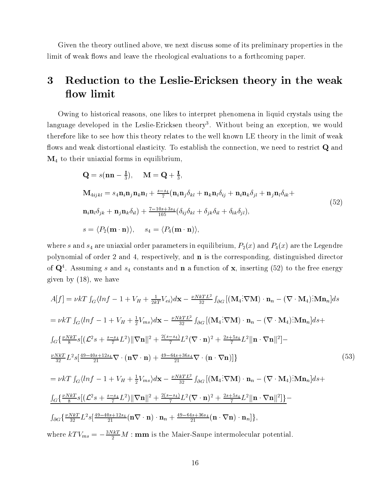Given the theory outlined above, we next discuss some of its preliminary properties in the limit of weak flows and leave the rheological evaluations to a forthcoming paper.

#### 3 Reduction to the Leslie-Ericksen theory in the weak flow limit

Owing to historical reasons, one likes to interpret phenomena in liquid crystals using the ranguage developed in the Leslie-Ericksen theory . Without being an exception, we would therefore like to see how this theory relates to the well known LE theory in the limit of weak flows and weak distortional elasticity. To establish the connection, we need to restrict  $Q$  and  $\mathbf{M}_4$  to their uniaxial forms in equilibrium,

$$
\mathbf{Q} = s(\mathbf{n}\mathbf{n} - \frac{1}{3}), \quad \mathbf{M} = \mathbf{Q} + \frac{1}{3},
$$
\n
$$
\mathbf{M}_{4ijkl} = s_4 \mathbf{n}_i \mathbf{n}_j \mathbf{n}_k \mathbf{n}_l + \frac{s - s_4}{7} (\mathbf{n}_i \mathbf{n}_j \delta_{kl} + \mathbf{n}_k \mathbf{n}_l \delta_{ij} + \mathbf{n}_i \mathbf{n}_k \delta_{jl} + \mathbf{n}_j \mathbf{n}_l \delta_{ik} +
$$
\n
$$
\mathbf{n}_i \mathbf{n}_l \delta_{jk} + \mathbf{n}_j \mathbf{n}_k \delta_{il} + \frac{7 - 10s + 3s_4}{105} (\delta_{ij} \delta_{kl} + \delta_{jk} \delta_{il} + \delta_{ik} \delta_{jl}),
$$
\n
$$
s = \langle P_2(\mathbf{m} \cdot \mathbf{n}) \rangle, \quad s_4 = \langle P_4(\mathbf{m} \cdot \mathbf{n}) \rangle,
$$
\n(52)

where s and  $s_4$  are uniaxial order parameters in equilibrium,  $P_2(x)$  and  $P_4(x)$  are the Legendre polynomial of order 2 and 4, respectively, and n is the corresponding, distinguished director of  $\mathbf{Q}$  . Assuming s and  $s_4$  constants and  $\mathbf{n}$  a function of  $\mathbf{x},$  inserting (52) to the free energy given by (18), we have

$$
A[f] = \nu kT \int_{G} \langle \ln f - 1 + V_{H} + \frac{1}{2kT} V_{ei} \rangle d\mathbf{x} - \frac{\nu N k T L^{2}}{32} \int_{\partial G} \left[ (\mathbf{M}_{4} : \nabla \mathbf{M}) \cdot \mathbf{n}_{n} - (\nabla \cdot \mathbf{M}_{4}) : \mathbf{M} \mathbf{n}_{n} \right] ds
$$
  
\n
$$
= \nu kT \int_{G} \langle \ln f - 1 + V_{H} + \frac{1}{2} V_{ms} \rangle d\mathbf{x} - \frac{\nu N k T L^{2}}{32} \int_{\partial G} \left[ (\mathbf{M}_{4} : \nabla \mathbf{M}) \cdot \mathbf{n}_{n} - (\nabla \cdot \mathbf{M}_{4}) : \mathbf{M} \mathbf{n}_{n} \right] ds +
$$
  
\n
$$
\int_{G} \left\{ \frac{\nu N k T}{8} s \left[ (\mathcal{L}^{2} s + \frac{s - s_{4}}{7} L^{2}) ||\nabla \mathbf{n}||^{2} + \frac{2(s - s_{4})}{7} L^{2} (\nabla \cdot \mathbf{n})^{2} + \frac{2s + 5s_{4}}{7} L^{2} ||\mathbf{n} \cdot \nabla \mathbf{n}||^{2} \right] -
$$
  
\n
$$
\frac{\nu N k T}{32} L^{2} s \left[ \frac{49 - 40s + 12s_{4}}{21} \nabla \cdot (\mathbf{n} \nabla \cdot \mathbf{n}) + \frac{49 - 64s + 36s_{4}}{21} \nabla \cdot (\mathbf{n} \cdot \nabla \mathbf{n}) \right] \}
$$
  
\n
$$
= \nu kT \int_{G} \langle \ln f - 1 + V_{H} + \frac{1}{2} V_{ms} \rangle d\mathbf{x} - \frac{\nu N k T L^{2}}{32} \int_{\partial G} \left[ (\mathbf{M}_{4} : \nabla \mathbf{M}) \cdot \mathbf{n}_{n} - (\nabla \cdot \mathbf{M}_{4}) : \mathbf{M} \mathbf{n}_{n} \right] ds +
$$
  
\n
$$
\frac{\int_{G} \left\{ \frac{\nu N k T}{8} s \left[ (\mathcal{L}^{2} s + \frac{s - s_{4}}{7} L^{2}) ||\
$$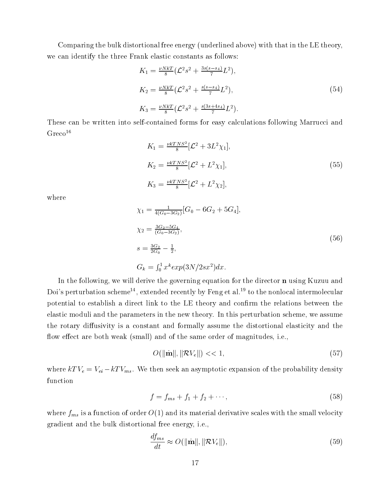Comparing the bulk distortional free energy (underlined above) with that in the LE theory, we can identify the three Frank elastic constants as follows:

$$
K_1 = \frac{\nu N k T}{8} \left( \mathcal{L}^2 s^2 + \frac{3 s (s - s_4)}{7} L^2 \right),
$$
  
\n
$$
K_2 = \frac{\nu N k T}{8} \left( \mathcal{L}^2 s^2 + \frac{s (s - s_4)}{7} L^2 \right),
$$
  
\n
$$
K_3 = \frac{\nu N k T}{8} \left( \mathcal{L}^2 s^2 + \frac{s (3 s + 4 s_4)}{7} L^2 \right).
$$
\n(54)

These can be written into self-contained forms for easy calculations following Marrucci and  $Greco<sup>16</sup>$ 

$$
K_1 = \frac{\nu k T N S^2}{8} [\mathcal{L}^2 + 3L^2 \chi_1],
$$
  
\n
$$
K_2 = \frac{\nu k T N S^2}{8} [\mathcal{L}^2 + L^2 \chi_1],
$$
  
\n
$$
K_3 = \frac{\nu k T N S^2}{8} [\mathcal{L}^2 + L^2 \chi_2],
$$
\n(55)

where

$$
\chi_1 = \frac{1}{4(G_0 - 3G_2)} [G_0 - 6G_2 + 5G_4],
$$
  
\n
$$
\chi_2 = \frac{3G_2 - 5G_4}{(G_0 - 3G_2)},
$$
  
\n
$$
s = \frac{3G_2}{2G_0} - \frac{1}{2},
$$
  
\n
$$
G_k = \int_0^1 x^k exp(3N/2sx^2) dx.
$$
\n(56)

In the following, we will derive the governing equation for the director **n** using Kuzuu and Doi's perturbation scheme<sup>14</sup>, extended recently by Feng et al.<sup>19</sup> to the nonlocal intermolecular potential to establish a direct link to the LE theory and confirm the relations between the elastic moduli and the parameters in the new theory. In this perturbation scheme, we assume the rotary diffusivity is a constant and formally assume the distortional elasticity and the flow effect are both weak (small) and of the same order of magnitudes, i.e.,

$$
O(\|\dot{\mathbf{m}}\|, \|\mathcal{R}V_e\|) << 1,\tag{57}
$$

where  $kTV_e = V_{ei} - kTV_{ms}$ . We then seek an asymptotic expansion of the probability density function

$$
f = f_{ms} + f_1 + f_2 + \cdots,\tag{58}
$$

where  $f_{ms}$  is a function of order  $O(1)$  and its material derivative scales with the small velocity gradient and the bulk distortional free energy, i.e.,

$$
\frac{df_{ms}}{dt} \approx O(||\dot{\mathbf{m}}||, ||\mathcal{R}V_e||),\tag{59}
$$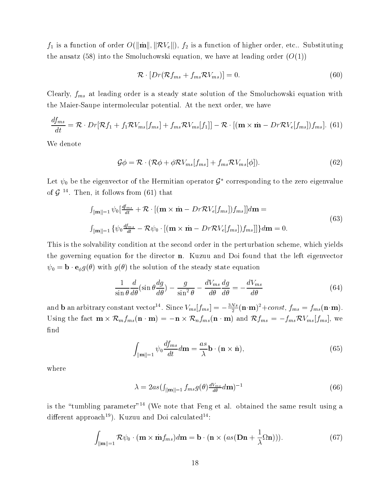$f_1$  is a function of order  $O(\|\mathbf{m}\|, \|\mathcal{RV}_e\|), f_2$  is a function of higher order, etc.. Substituting the ansatz (58) into the Smoluchowski equation, we have at leading order  $(O(1))$ 

$$
\mathcal{R} \cdot [Dr(\mathcal{R}f_{ms} + f_{ms}\mathcal{R}V_{ms})] = 0. \tag{60}
$$

Clearly,  $f_{ms}$  at leading order is a steady state solution of the Smoluchowski equation with the Maier-Saupe intermolecular potential. At the next order, we have

$$
\frac{df_{ms}}{dt} = \mathcal{R} \cdot Dr[\mathcal{R}f_1 + f_1 \mathcal{R}V_{ms}[f_{ms}] + f_{ms} \mathcal{R}V_{ms}[f_1]] - \mathcal{R} \cdot [(\mathbf{m} \times \dot{\mathbf{m}} - Dr\mathcal{R}V_e[f_{ms}])f_{ms}].
$$
 (61)

We denote

$$
\mathcal{G}\phi = \mathcal{R} \cdot (\mathcal{R}\phi + \phi \mathcal{R}V_{ms}[f_{ms}] + f_{ms}\mathcal{R}V_{ms}[\phi]). \qquad (62)
$$

Let  $\psi_0$  be the eigenvector of the Hermitian operator  $\mathcal{G}^*$  corresponding to the zero eigenvalue of G <sup>14</sup> . Then, it follows from (61) that

$$
\int_{\|\mathbf{m}\|=1} \psi_0 \left[ \frac{df_{ms}}{dt} + \mathcal{R} \cdot \left[ (\mathbf{m} \times \dot{\mathbf{m}} - Dr\mathcal{R}V_e[f_{ms}])f_{ms} \right] d\mathbf{m} =
$$
\n
$$
\int_{\|\mathbf{m}\|=1} \{ \psi_0 \frac{df_{ms}}{dt} - \mathcal{R}\psi_0 \cdot \left[ (\mathbf{m} \times \dot{\mathbf{m}} - Dr\mathcal{R}V_e[f_{ms}])f_{ms} \right] \} d\mathbf{m} = 0.
$$
\n(63)

This is the solvability condition at the second order in the perturbation scheme, which yields the governing equation for the director  $n$ . Kuzuu and Doi found that the left eigenvector  $\psi_0 = \mathbf{b} \cdot \mathbf{e}_{\phi} g(\theta)$  with  $g(\theta)$  the solution of the steady state equation

$$
\frac{1}{\sin\theta} \frac{d}{d\theta} (\sin\theta \frac{dg}{d\theta}) - \frac{g}{\sin^2\theta} - \frac{dV_{ms}}{d\theta} \frac{dg}{d\theta} = -\frac{dV_{ms}}{d\theta}
$$
(64)

and **b** an arbitrary constant vector  $\cdot$  . Since  $V_{ms}[f_{ms}] = -\frac{2\pi}{2}({\bf n}\cdot{\bf m})^2 + const,~f_{ms} = f_{ms}({\bf n}\cdot{\bf m}).$  $U = \bigcup_{\substack{n \in \mathbb{N} \\ n \neq n}} \bigcup_{\substack{n \in \mathbb{N} \\ n \neq n}} \bigcup_{\substack{n \in \mathbb{N} \\ n \neq n}} \bigcup_{\substack{n \in \mathbb{N} \\ n \neq n}} \bigcup_{\substack{n \in \mathbb{N} \\ n \neq n}} \bigcup_{\substack{n \in \mathbb{N} \\ n \neq n}} \bigcup_{\substack{n \in \mathbb{N} \\ n \neq n}} \bigcup_{\substack{n \in \mathbb{N} \\ n \neq n}} \bigcup_{\substack{n \in \mathbb{N} \\ n \neq n}} \bigcup_{\substack{n \in \$ find

$$
\int_{\|\mathbf{m}\|=1} \psi_0 \frac{df_{ms}}{dt} d\mathbf{m} = \frac{as}{\lambda} \mathbf{b} \cdot (\mathbf{n} \times \dot{\mathbf{n}}),\tag{65}
$$

where

$$
\lambda = 2as \left( \int_{\|\mathbf{m}\| = 1} f_{ms} g(\theta) \frac{dV_{ms}}{d\theta} d\mathbf{m} \right)^{-1} \tag{66}
$$

is the "tumbling parameter"<sup>14</sup> (We note that Feng et al. obtained the same result using a different approach<sup>19</sup>). Kuzuu and Doi calculated<sup>14</sup>:

$$
\int_{\|\mathbf{m}\|=1} \mathcal{R}\psi_0 \cdot (\mathbf{m} \times \dot{\mathbf{m}} f_{ms}) d\mathbf{m} = \mathbf{b} \cdot (\mathbf{n} \times (as(\mathbf{Dn} + \frac{1}{\lambda} \Omega \mathbf{n}))). \tag{67}
$$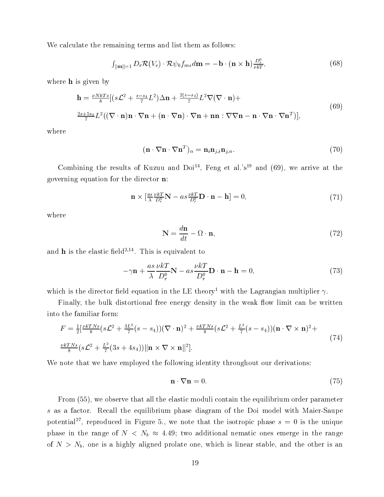We calculate the remaining terms and list them as follows:

$$
\int_{\|\mathbf{m}\|=1} D_r \mathcal{R}(V_e) \cdot \mathcal{R} \psi_0 f_{ms} d\mathbf{m} = -\mathbf{b} \cdot (\mathbf{n} \times \mathbf{h}) \frac{D_r^0}{\nu kT},
$$
\n(68)

where **h** is given by

$$
\mathbf{h} = \frac{\nu N k T s}{8} [(s\mathcal{L}^2 + \frac{s - s_4}{7} \mathcal{L}^2) \Delta \mathbf{n} + \frac{2(s - s_4)}{7} \mathcal{L}^2 \nabla (\nabla \cdot \mathbf{n}) +
$$
  

$$
\frac{2s + 5s_4}{7} \mathcal{L}^2 ((\nabla \cdot \mathbf{n}) \mathbf{n} \cdot \nabla \mathbf{n} + (\mathbf{n} \cdot \nabla \mathbf{n}) \cdot \nabla \mathbf{n} + \mathbf{n} \mathbf{n} : \nabla \nabla \mathbf{n} - \mathbf{n} \cdot \nabla \mathbf{n} \cdot \nabla \mathbf{n}^T)],
$$
(69)

where

$$
(\mathbf{n} \cdot \nabla \mathbf{n} \cdot \nabla \mathbf{n}^T)_{\alpha} = \mathbf{n}_i \mathbf{n}_{j,i} \mathbf{n}_{j,\alpha}.
$$
 (70)

Combining the results of Kuzuu and  $Doi<sup>44</sup>$ . Feng et al.'s<sup>19</sup> and (69), we arrive at the governing equation for the director n:

$$
\mathbf{n} \times \left[ \frac{as}{\lambda} \frac{\nu k}{D_r^0} \mathbf{N} - as \frac{\nu k}{D_r^0} \mathbf{D} \cdot \mathbf{n} - \mathbf{h} \right] = 0,\tag{71}
$$

where

$$
\mathbf{N} = \frac{d\mathbf{n}}{dt} - \Omega \cdot \mathbf{n},\tag{72}
$$

and **n** is the elastic held<sup>-,--</sup>. This is equivalent to

$$
-\gamma \mathbf{n} + \frac{as}{\lambda} \frac{\nu k}{D_r^0} \mathbf{N} - as \frac{\nu k}{D_r^0} \mathbf{D} \cdot \mathbf{n} - \mathbf{h} = 0, \qquad (73)
$$

which is the director field equation in the LE theory<sup>1</sup> with the Lagrangian multiplier  $\gamma$ .

Finally, the bulk distortional free energy density in the weak flow limit can be written into the familiar form:

$$
F = \frac{1}{2} \left[ \frac{\nu k T N s}{8} (s \mathcal{L}^2 + \frac{3L^2}{7} (s - s_4)) (\nabla \cdot \mathbf{n})^2 + \frac{\nu k T N s}{8} (s \mathcal{L}^2 + \frac{L^2}{7} (s - s_4)) (\mathbf{n} \cdot \nabla \times \mathbf{n})^2 + \frac{\nu k T N s}{8} (s \mathcal{L}^2 + \frac{L^2}{7} (3s + 4s_4)) ||\mathbf{n} \times \nabla \times \mathbf{n}||^2 \right].
$$
\n(74)

We note that we have employed the following identity throughout our derivations:

$$
\mathbf{n} \cdot \nabla \mathbf{n} = 0. \tag{75}
$$

From (55), we observe that all the elastic moduli contain the equilibrium order parameter s as a factor. Recall the equilibrium phase diagram of the Doi model with Maier-Saupe potential<sup>2</sup>, reproduced in Figure 5., we note that the isotropic phase  $s = 0$  is the unique phase in the range of  $N < N_b \approx 4.49$ ; two additional nematic ones emerge in the range of  $N > N_b$ , one is a highly aligned prolate one, which is linear stable, and the other is an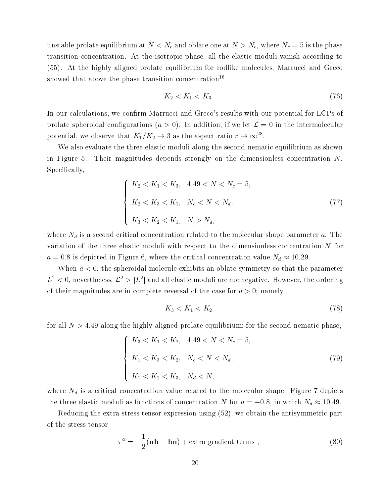unstable prolate equilibrium at  $N < N_c$  and oblate one at  $N > N_c$ , where  $N_c = 5$  is the phase transition concentration. At the isotropic phase, all the elastic moduli vanish according to (55). At the highly aligned prolate equilibrium for rodlike molecules, Marrucci and Greco showed that above the phase transition concentration<sup>16</sup>

$$
K_2 < K_1 < K_3. \tag{76}
$$

In our calculations, we confirm Marrucci and Greco's results with our potential for LCPs of prolate spheroidal configurations  $(a > 0)$ . In addition, if we let  $\mathcal{L} = 0$  in the intermolecular potential, we observe that  $K_1/K_2 \to 3$  as the aspect ratio  $r \to \infty^{28}$ .

We also evaluate the three elastic moduli along the second nematic equilibrium as shown in Figure 5. Their magnitudes depends strongly on the dimensionless concentration N. Specifically,

$$
\begin{cases}\nK_2 < K_1 < K_3, \quad 4.49 < N < N_c = 5, \\
K_2 < K_3 < K_1, \quad N_c < N < N_d, \\
K_3 < K_2 < K_1, \quad N > N_d,\n\end{cases} \tag{77}
$$

where  $N_d$  is a second critical concentration related to the molecular shape parameter a. The variation of the three elastic moduli with respect to the dimensionless concentration N for  $a = 0.8$  is depicted in Figure 6, where the critical concentration value  $N_d \approx 10.29$ .

When  $a < 0$ , the spheroidal molecule exhibits an oblate symmetry so that the parameter  $L^2 \leq 0$ , nevertheless,  $L^2 \geq |L^2|$  and all elastic moduli are nonnegative. However, the ordering of their magnitudes are in complete reversal of the case for  $a > 0$ ; namely,

$$
K_3 < K_1 < K_2 \tag{78}
$$

for all  $N > 4.49$  along the highly aligned prolate equilibrium; for the second nematic phase,

$$
\begin{cases}\nK_3 < K_1 < K_2, \quad 4.49 < N < N_c = 5, \\
K_1 < K_3 < K_2, \quad N_c < N < N_d, \\
K_1 < K_2 < K_3, \quad N_d < N,\n\end{cases} \tag{79}
$$

where  $N_d$  is a critical concentration value related to the molecular shape. Figure 7 depicts the three elastic moduli as functions of concentration N for  $a = -0.8$ , in which  $N_d \approx 10.49$ .

Reducing the extra stress tensor expression using (52), we obtain the antisymmetric part of the stress tensor

$$
\tau^{a} = -\frac{1}{2}(\mathbf{n}\mathbf{h} - \mathbf{h}\mathbf{n}) + \text{extra gradient terms} \tag{80}
$$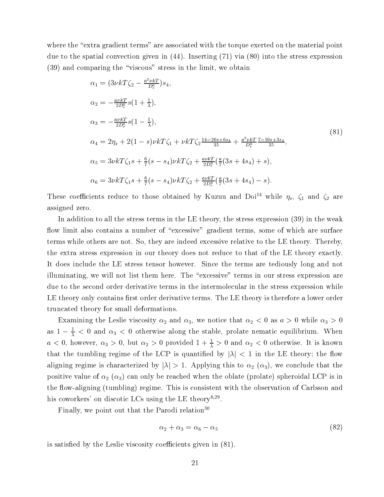where the "extra gradient terms" are associated with the torque exerted on the material point due to the spatial convection given in (44). Inserting (71) via (80) into the stress expression  $(39)$  and comparing the "viscous" stress in the limit, we obtain

$$
\alpha_1 = (3\nu k T \zeta_2 - \frac{a^2 \nu k T}{D_r^0}) s_4,
$$
  
\n
$$
\alpha_2 = -\frac{a \nu k T}{2 D_r^0} s (1 + \frac{1}{\lambda}),
$$
  
\n
$$
\alpha_3 = -\frac{a \nu k T}{2 D_r^0} s (1 - \frac{1}{\lambda}),
$$
  
\n
$$
\alpha_4 = 2 \eta_s + 2(1 - s) \nu k T \zeta_1 + \nu k T \zeta_2 \frac{14 - 20s + 6s_4}{35} + \frac{a^2 \nu k T}{D_r^0} \frac{7 - 10s + 3s_4}{35},
$$
  
\n
$$
\alpha_5 = 3 \nu k T \zeta_1 s + \frac{6}{7} (s - s_4) \nu k T \zeta_2 + \frac{a \nu k T}{2 D_r^0} (\frac{a}{7} (3s + 4s_4) + s),
$$
  
\n
$$
\alpha_6 = 3 \nu k T \zeta_1 s + \frac{6}{7} (s - s_4) \nu k T \zeta_2 + \frac{a \nu k T}{2 D_r^0} (\frac{a}{7} (3s + 4s_4) - s).
$$
\n
$$
(81)
$$

These coefficients reduce to those obtained by Kuzuu and Doi<sup>14</sup> while  $\eta_s$ ,  $\zeta_1$  and  $\zeta_2$  are assigned zero.

In addition to all the stress terms in the LE theory, the stress expression (39) in the weak flow limit also contains a number of "excessive" gradient terms, some of which are surface terms while others are not. So, they are indeed excessive relative to the LE theory. Thereby, the extra stress expression in our theory does not reduce to that of the LE theory exactly. It does include the LE stress tensor however. Since the terms are tediously long and not illuminating, we will not list them here. The "excessive" terms in our stress expression are due to the second order derivative terms in the intermolecular in the stress expression while LE theory only contains first order derivative terms. The LE theory is therefore a lower order truncated theory for small deformations.

Examining the Leslie viscosity  $\alpha_2$  and  $\alpha_3$ , we notice that  $\alpha_2 < 0$  as  $a > 0$  while  $\alpha_3 > 0$ as  $1 - \frac{1}{\lambda} < 0$  and  $\alpha_3 < 0$  otherwise along the stable, prolate nematic equilibrium. When  $a <$  0, nowever,  $\alpha_3 >$  0, but  $\alpha_2 >$  0 provided  $1 + \frac{1}{\lambda} > 0$  and  $\alpha_2 <$  0 otherwise. It is known that the tumbling regime of the LCP is quantified by  $|\lambda|$  < 1 in the LE theory; the flow aligning regime is characterized by  $|\lambda| > 1$ . Applying this to  $\alpha_2$   $(\alpha_3)$ , we conclude that the positive value of  $\alpha_2$  ( $\alpha_3$ ) can only be reached when the oblate (prolate) spheroidal LCP is in the flow-aligning (tumbling) regime. This is consistent with the observation of Carlsson and his coworkers' on discotic LCs using the LE theory<sup>8,29</sup>.

Finally, we point out that the Parodi relation<sup>30</sup>

$$
\alpha_2 + \alpha_3 = \alpha_6 - \alpha_5 \tag{82}
$$

is satisfied by the Leslie viscosity coefficients given in  $(81)$ .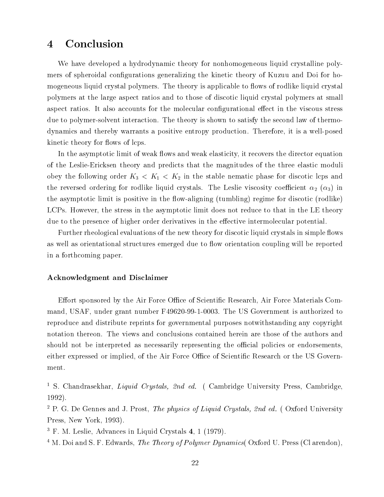#### **Conclusion**  $\boldsymbol{4}$

We have developed a hydrodynamic theory for nonhomogeneous liquid crystalline polymers of spheroidal configurations generalizing the kinetic theory of Kuzuu and Doi for homogeneous liquid crystal polymers. The theory is applicable to flows of rodlike liquid crystal polymers at the large aspect ratios and to those of discotic liquid crystal polymers at small aspect ratios. It also accounts for the molecular configurational effect in the viscous stress due to polymer-solvent interaction. The theory is shown to satisfy the second law of thermodynamics and thereby warrants a positive entropy production. Therefore, it is a well-posed kinetic theory for flows of lcps.

In the asymptotic limit of weak flows and weak elasticity, it recovers the director equation of the Leslie-Ericksen theory and predicts that the magnitudes of the three elastic moduli obey the following order  $K_3 < K_1 < K_2$  in the stable nematic phase for discotic lcps and the reversed ordering for rodlike liquid crystals. The Leslie viscosity coefficient  $\alpha_2$  ( $\alpha_3$ ) in the asymptotic limit is positive in the flow-aligning (tumbling) regime for discotic (rodlike) LCPs. However, the stress in the asymptotic limit does not reduce to that in the LE theory due to the presence of higher order derivatives in the effective intermolecular potential.

Further rheological evaluations of the new theory for discotic liquid crystals in simple flows as well as orientational structures emerged due to flow orientation coupling will be reported in a forthcoming paper.

#### Acknowledgment and Disclaimer

Effort sponsored by the Air Force Office of Scientific Research, Air Force Materials Command, USAF, under grant number F49620-99-1-0003. The US Government is authorized to reproduce and distribute reprints for governmental purposes notwithstanding any copyright notation thereon. The views and conclusions contained herein are those of the authors and should not be interpreted as necessarily representing the official policies or endorsements, either expressed or implied, of the Air Force Office of Scientific Research or the US Government.

 $\sim$  5. Chandrasekhar, *Liquid Crystats, 2nd ed.* ( Cambridge University Press, Cambridge, 1992).

<sup>2</sup> P. G. De Gennes and J. Prost, The physics of Liquid Crystals, 2nd ed. ( Oxford University Press, New York, 1993).

<sup>3</sup> F. M. Leslie, Advances in Liquid Crystals 4, 1 (1979).

 $^{\circ}$  M. Doi and S. F. Edwards, *The Theory of Polymer Dynamics*( Oxford U. Press (Cl arendon),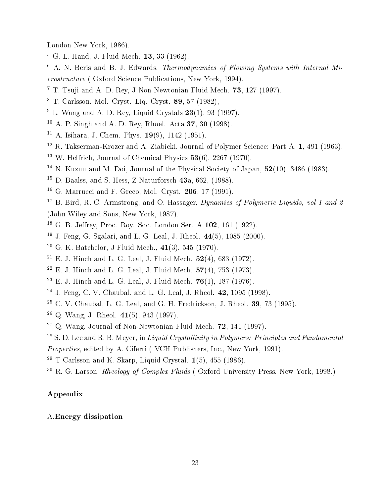London-New York, 1986).

- $5$  G. L. Hand, J. Fluid Mech. 13, 33 (1962). G. L. Hand, J. Fluid Mech. 13, 33 (1962).
- <sup>6</sup> A. N. Beris and B. J. Edwards, Thermodynamics of Flowing Systems with Internal Microstructure ( Oxford Science Publications, New York, 1994).
- <sup>7</sup> T. Tsuji and A. D. Rey, J Non-Newtonian Fluid Mech. 73, 127 (1997).
- $\sim$  1. Carlsson, Mol. Cryst. Liq. Cryst. 89, 57 (1982),
- <sup>9</sup> L. Wang and A. D. Rey, Liquid Crystals 23(1), 93 (1997).
- <sup>10</sup> A. P. Singh and A. D. Rey, Rhoel. Acta 37, 30 (1998).
- <sup>--</sup> A. Isinara, J. Chem. Phys. 19(9), 1142 (1951).
- <sup>12</sup> R. Takserman-Krozer and A. Ziabicki, Journal of Polymer Science: Part A, 1, 491 (1963).
- <sup>13</sup> W. Helfrich, Journal of Chemical Physics 53(6), 2267 (1970).
- <sup>14</sup> N. Kuzuu and M. Doi, Journal of the Physical Society of Japan, 52(10), 3486 (1983).
- <sup>15</sup> D. Baalss, and S. Hess, Z Naturforsch  $43a$ , 662, (1988). D. Baalss, and S. Hess, Z Naturforsch 43a, 662, (1988).
- <sup>16</sup> G. Marrucci and F. Greco, Mol. Cryst. **206**, 17 (1991). G. Marrucci and F. Greco, Mol. Cryst. 206, 17 (1991).
- $\sim$  B. Bird, R. C. Armstrong, and O. Hassager, *Dynamics of Polymeric Liquids, vol 1 and 2* (John Wiley and Sons, New York, 1987).
- $\sim$  G. D. Jehrey, Proc. Roy. Soc. London Ser. A 102, 161 (1922).
- <sup>19</sup> J. Feng, G. Sgalari, and L. G. Leal, J. Rheol. 44(5), 1085 (2000).
- <sup>20</sup> G. K. Batchelor, J Fluid Mech., 41(3), 545 (1970).
- <sup>21</sup> E. J. Hinch and L. G. Leal, J. Fluid Mech. 52(4), 683 (1972).
- <sup>22</sup> E. J. Hinch and L. G. Leal, J. Fluid Mech. 57(4), 753 (1973).
- <sup>23</sup> E. J. Hinch and L. G. Leal, J. Fluid Mech. 76(1), 187 (1976).
- <sup>24</sup> J. Feng, C. V. Chaubal, and L. G. Leal, J. Rheol. 42, 1095 (1998).
- <sup>25</sup> C. V. Chaubal, L. G. Leal, and G. H. Fredrickson, J. Rheol. 39, 73 (1995).
- <sup>26</sup> Q. Wang, J. Rheol. 41(5), 943 (1997).
- <sup>27</sup> Q. Wang, Journal of Non-Newtonian Fluid Mech. 72, 141 (1997).
- $\sim$  5. D. Lee and R. B. Meyer, in Liquid Crystallinity in Polymers: Principles and Pundamental
- Properties, edited by A. Ciferri ( VCH Publishers, Inc., New York, 1991).
- <sup>29</sup> T Carlsson and K. Skarp, Liquid Crystal. 1(5), 455 (1986).
- <sup>30</sup> R. G. Larson, Rheology of Complex Fluids ( Oxford University Press, New York, 1998.)

### Appendix

### A.Energy dissipation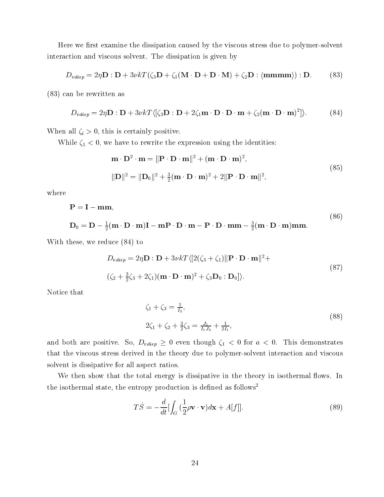Here we first examine the dissipation caused by the viscous stress due to polymer-solvent interaction and viscous solvent. The dissipation is given by

$$
D_{vdisp} = 2\eta \mathbf{D} : \mathbf{D} + 3\nu kT(\zeta_3 \mathbf{D} + \zeta_1 (\mathbf{M} \cdot \mathbf{D} + \mathbf{D} \cdot \mathbf{M}) + \zeta_2 \mathbf{D} : \langle \mathbf{mmmm} \rangle) : \mathbf{D}. \tag{83}
$$

(83) can be rewritten as

$$
D_{\text{vdisp}} = 2\eta \mathbf{D} : \mathbf{D} + 3\nu k \cdot T \langle [\zeta_3 \mathbf{D} : \mathbf{D} + 2\zeta_1 \mathbf{m} \cdot \mathbf{D} \cdot \mathbf{D} \cdot \mathbf{m} + \zeta_2 (\mathbf{m} \cdot \mathbf{D} \cdot \mathbf{m})^2] \rangle. \tag{84}
$$

When all  $\zeta_i > 0$ , this is certainly positive.

While  $\zeta_1 < 0$ , we have to rewrite the expression using the identities:

$$
\mathbf{m} \cdot \mathbf{D}^2 \cdot \mathbf{m} = \|\mathbf{P} \cdot \mathbf{D} \cdot \mathbf{m}\|^2 + (\mathbf{m} \cdot \mathbf{D} \cdot \mathbf{m})^2,
$$
  

$$
\|\mathbf{D}\|^2 = \|\mathbf{D}_0\|^2 + \frac{3}{2}(\mathbf{m} \cdot \mathbf{D} \cdot \mathbf{m})^2 + 2\|\mathbf{P} \cdot \mathbf{D} \cdot \mathbf{m}\|^2,
$$
 (85)

where

$$
P = I - mm,
$$
  
\n
$$
D_0 = D - \frac{1}{2}(m \cdot D \cdot m)I - mP \cdot D \cdot m - P \cdot D \cdot mm - \frac{3}{2}(m \cdot D \cdot m)mm.
$$
\n(86)

With these, we reduce (84) to

$$
D_{vdisp} = 2\eta \mathbf{D} : \mathbf{D} + 3\nu k \cdot T \langle [2(\zeta_3 + \zeta_1) || \mathbf{P} \cdot \mathbf{D} \cdot \mathbf{m} ||^2 +
$$
  

$$
(\zeta_2 + \frac{3}{2}\zeta_3 + 2\zeta_1)(\mathbf{m} \cdot \mathbf{D} \cdot \mathbf{m})^2 + \zeta_3 \mathbf{D}_0 : \mathbf{D}_0] \rangle.
$$
 (87)

Notice that

$$
\zeta_1 + \zeta_3 = \frac{1}{I_3},
$$
  
\n
$$
2\zeta_1 + \zeta_2 + \frac{3}{2}\zeta_3 = \frac{J_1}{I_1 J_3} + \frac{1}{2I_1},
$$
\n(88)

and both are positive. So,  $D_{vdisp} \geq 0$  even though  $\zeta_1 < 0$  for  $a < 0$ . This demonstrates that the viscous stress derived in the theory due to polymer-solvent interaction and viscous solvent is dissipative for all aspect ratios.

We then show that the total energy is dissipative in the theory in isothermal flows. In the isothermal state, the entropy production is defined as follows<sup>2</sup>

$$
T\dot{S} = -\frac{d}{dt} \left[ \int_G \left( \frac{1}{2} \rho \mathbf{v} \cdot \mathbf{v} \right) d\mathbf{x} + A[f] \right]. \tag{89}
$$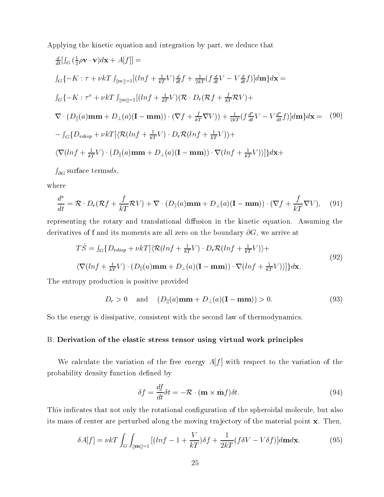Applying the kinetic equation and integration by part, we deduce that

$$
\frac{d}{dt} [f_G(\frac{1}{2}\rho \mathbf{v} \cdot \mathbf{v})d\mathbf{x} + A[f]] =
$$
\n
$$
f_G\{-K : \tau + \nu kT f_{\|m\|=1}[(\ln f + \frac{1}{kT}V)\frac{d}{dt}f + \frac{1}{2kT}(f\frac{d}{dt}V - V\frac{d}{dt}f)]d\mathbf{m}\}d\mathbf{x} =
$$
\n
$$
f_G\{-K : \tau^v + \nu kT f_{\|m\|=1}[(\ln f + \frac{1}{kT}V)(\mathcal{R} \cdot D_r(\mathcal{R}f + \frac{f}{kT}\mathcal{R}V)) +
$$
\n
$$
\nabla \cdot (D_{\|}(a)\mathbf{m}\mathbf{m} + D_{\perp}(a)(\mathbf{I} - \mathbf{m}\mathbf{m})) \cdot (\nabla f + \frac{f}{kT}\nabla V)) + \frac{1}{2kT}(f\frac{d^*}{dt}V - V\frac{d^*}{dt}f)]d\mathbf{m}\}d\mathbf{x} = (90)
$$
\n
$$
-f_G\{D_{vdisp} + \nu kT[\langle \mathcal{R}(\ln f + \frac{1}{kT}V) \cdot D_r\mathcal{R}(\ln f + \frac{1}{kT}V)\rangle +
$$
\n
$$
\langle \nabla(\ln f + \frac{1}{kT}V) \cdot (D_{\|}(a)\mathbf{m}\mathbf{m} + D_{\perp}(a)(\mathbf{I} - \mathbf{m}\mathbf{m})) \cdot \nabla(\ln f + \frac{1}{kT}V)\rangle]\}d\mathbf{x} +
$$

@G surface termsds;

where

$$
\frac{d^*}{dt} = \mathcal{R} \cdot D_r(\mathcal{R}f + \frac{f}{kT}\mathcal{R}V) + \nabla \cdot (D_{\parallel}(a)\mathbf{m}\mathbf{m} + D_{\perp}(a)(\mathbf{I} - \mathbf{m}\mathbf{m})) \cdot (\nabla f + \frac{f}{kT}\nabla V), \quad (91)
$$

representing the rotary and translational diffusion in the kinetic equation. Assuming the derivatives of f and its moments are all zero on the boundary  $\partial G$ , we arrive at

$$
T\dot{S} = \int_{G} \{ D_{vdisp} + \nu kT [\langle \mathcal{R}(lnf + \frac{1}{kT}V) \cdot D_{r} \mathcal{R}(lnf + \frac{1}{kT}V) \rangle +
$$
  

$$
\langle \nabla(lnf + \frac{1}{kT}V) \cdot (D_{\parallel}(a) \mathbf{m} \mathbf{m} + D_{\perp}(a)(\mathbf{I} - \mathbf{m} \mathbf{m})) \cdot \nabla(lnf + \frac{1}{kT}V) \rangle ] \} d\mathbf{x}.
$$
 (92)

The entropy production is positive provided

$$
D_r > 0 \quad \text{and} \quad (D_{\parallel}(a) \mathbf{m} \mathbf{m} + D_{\perp}(a) (\mathbf{I} - \mathbf{m} \mathbf{m})) > 0. \tag{93}
$$

So the energy is dissipative, consistent with the second law of thermodynamics.

#### B. Derivation of the elastic stress tensor using virtual work principles

We calculate the variation of the free energy  $A[f]$  with respect to the variation of the probability density function dened by

$$
\delta f = \frac{df}{dt}\delta t = -\mathcal{R} \cdot (\mathbf{m} \times \dot{\mathbf{m}}f)\delta t.
$$
\n(94)

This indicates that not only the rotational conguration of the spheroidal molecule, but also its mass of center are perturbed along the moving trajectory of the material point x. Then,

$$
\delta A[f] = \nu kT \int_G \int_{\|\mathbf{m}\| = 1} \left[ (\ln f - 1 + \frac{V}{kT}) \delta f + \frac{1}{2kT} (f \delta V - V \delta f) \right] d\mathbf{m} d\mathbf{x}.
$$
 (95)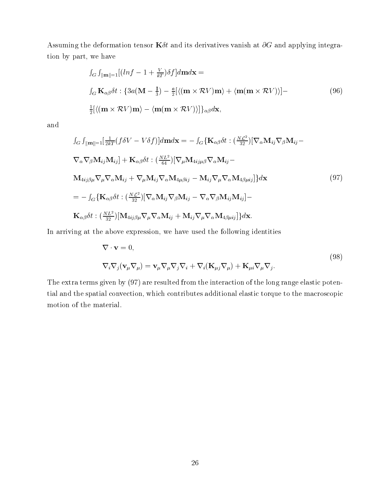Assuming the deformation tensor  $\mathbf{K}\delta t$  and its derivatives vanish at  $\partial G$  and applying integration by part, we have

$$
\int_{G} \int_{\|\mathbf{m}\| = 1} [(\ln f - 1 + \frac{V}{kT}) \delta f] d\mathbf{m} d\mathbf{x} =
$$
  

$$
\int_{G} \mathbf{K}_{\alpha\beta} \delta t : \{3a(\mathbf{M} - \frac{1}{3}) - \frac{a}{2} [\langle (\mathbf{m} \times \mathcal{R}V) \mathbf{m} \rangle + \langle \mathbf{m} (\mathbf{m} \times \mathcal{R}V) \rangle] -
$$
  

$$
\frac{1}{2} [\langle (\mathbf{m} \times \mathcal{R}V) \mathbf{m} \rangle - \langle \mathbf{m} (\mathbf{m} \times \mathcal{R}V) \rangle] \}_{\alpha\beta} d\mathbf{x},
$$
 (96)

and

$$
\int_{G} \int_{\|\mathbf{m}\| = 1} \left[ \frac{1}{2kT} (f \delta V - V \delta f) \right] d\mathbf{m} d\mathbf{x} = - \int_{G} \{ \mathbf{K}_{\alpha\beta} \delta t : (\frac{N\mathcal{L}^{2}}{32}) [\nabla_{\alpha} \mathbf{M}_{ij} \nabla_{\beta} \mathbf{M}_{ij} - \nabla_{\alpha} \nabla_{\beta} \mathbf{M}_{ij} \mathbf{M}_{ij}] + \mathbf{K}_{\alpha\beta} \delta t : (\frac{N\mathcal{L}^{2}}{64}) [\nabla_{\mu} \mathbf{M}_{4ij\mu\beta} \nabla_{\alpha} \mathbf{M}_{ij} - \mathbf{M}_{4ij\beta\mu} \nabla_{\mu} \nabla_{\alpha} \mathbf{M}_{ij} - \mathbf{M}_{ij} \nabla_{\mu} \nabla_{\alpha} \mathbf{M}_{4\beta\mu ij}] \} d\mathbf{x}
$$
\n
$$
= - \int_{G} \{ \mathbf{K}_{\alpha\beta} \delta t : (\frac{N\mathcal{L}^{2}}{32}) [\nabla_{\alpha} \mathbf{M}_{ij} \nabla_{\beta} \mathbf{M}_{ij} - \nabla_{\alpha} \nabla_{\beta} \mathbf{M}_{ij} \mathbf{M}_{ij}] - \mathbf{K}_{\alpha\beta} \delta t : (\frac{N\mathcal{L}^{2}}{32}) [\mathbf{M}_{4ij\beta\mu} \nabla_{\mu} \nabla_{\alpha} \mathbf{M}_{ij} + \mathbf{M}_{ij} \nabla_{\mu} \nabla_{\alpha} \mathbf{M}_{4\beta\mu ij}] \} d\mathbf{x}.
$$
\n(97)

In arriving at the above expression, we have used the following identities

$$
\nabla \cdot \mathbf{v} = 0,
$$
  
\n
$$
\nabla_i \nabla_j (\mathbf{v}_{\mu} \nabla_{\mu}) = \mathbf{v}_{\mu} \nabla_{\mu} \nabla_j \nabla_i + \nabla_i (\mathbf{K}_{\mu j} \nabla_{\mu}) + \mathbf{K}_{\mu i} \nabla_{\mu} \nabla_j.
$$
\n(98)

The extra terms given by (97) are resulted from the interaction of the long range elastic potential and the spatial convection, which contributes additional elastic torque to the macroscopic motion of the material.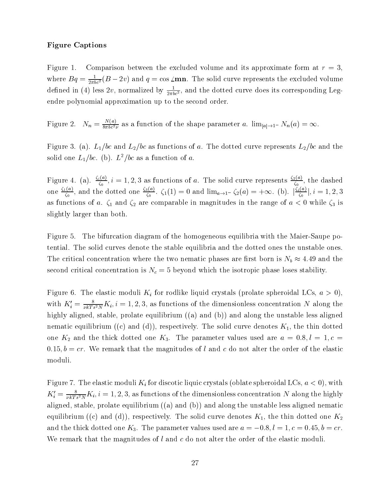#### Figure Captions

Figure 1. Comparison between the excluded volume and its approximate form at  $r = 3$ , where  $Bq = \frac{1}{2\pi bc^2} (B - zv)$  and  $q = \cos \angle \textbf{mn}$ . The solid curve represents the excluded volume defined in (4) less  $zv$ , normalized by  $\frac{1}{2\pi bc^2}$ , and the dotted curve does its corresponding Legendre polynomial approximation up to the second order.

Figure 2.  $N_n = \frac{1}{8\pi bc^2 \nu}$  as a function of the shape parameter a.  $\lim_{|a| \to 1^-} N_n(a) = \infty$ .

Figure 3. (a).  $L_1/bc$  and  $L_2/bc$  as functions of a. The dotted curve represents  $L_2/bc$  and the solid one  $L_1/bc$ . (b).  $L^2/bc$  as a function of a.

Figure 4. (a).  $\frac{s(\alpha)}{\zeta_0}, i = 1, 2, 3$  as functions of a. The solid curve represents  $\frac{s(\alpha)}{\zeta_0}$ , the dashed one  $\rightarrow$  and  $\frac{\sqrt{2}}{\zeta_0}$ , and the dotted one  $\frac{3\sqrt{2}}{\zeta_0}$ .  $\zeta_1$  $\zeta_0^2$ .  $\zeta_1(1) = 0$  and  $\lim_{a \to 1^-} \zeta_2(a) = +\infty$ . (b).  $|\frac{\zeta_1}{\zeta_0}|, i = 1, 2, 3$ as functions of a.  $\zeta_1$  and  $\zeta_2$  are comparable in magnitudes in the range of  $a < 0$  while  $\zeta_3$  is slightly larger than both.

Figure 5. The bifurcation diagram of the homogeneous equilibria with the Maier-Saupe potential. The solid curves denote the stable equilibria and the dotted ones the unstable ones. The critical concentration where the two nematic phases are first born is  $N_b \approx 4.49$  and the second critical concentration is  $N_c = 5$  beyond which the isotropic phase loses stability.

Figure 6. The elastic moduli  $K_i$  for rodlike liquid crystals (prolate spheroidal LCs,  $a > 0$ ), with  $K_i = \frac{1}{\nu kT s^2 N} K_i$ ,  $i = 1, 2, 3$ , as functions of the dimensionless concentration N along the highly aligned, stable, prolate equilibrium ((a) and (b)) and along the unstable less aligned nematic equilibrium ((c) and (d)), respectively. The solid curve denotes  $K_1$ , the thin dotted one  $K_2$  and the thick dotted one  $K_3$ . The parameter values used are  $a = 0.8, l = 1, c =$  $0.15, b = cr$ . We remark that the magnitudes of l and c do not alter the order of the elastic moduli.

Figure 7. The elastic moduli  $K_i$  for discotic liquic crystals (oblate spheroidal LCs,  $a < 0$ ), with  $K_i = \frac{1}{\nu kT s^2 N} K_i, i = 1, 2, 3$ , as functions of the dimensionless concentration *I*V along the highly aligned, stable, prolate equilibrium ((a) and (b)) and along the unstable less aligned nematic equilibrium ((c) and (d)), respectively. The solid curve denotes  $K_1$ , the thin dotted one  $K_2$ and the thick dotted one  $K_3$ . The parameter values used are  $a = -0.8$ ,  $l = 1$ ,  $c = 0.45$ ,  $b = cr$ . We remark that the magnitudes of  $l$  and  $c$  do not alter the order of the elastic moduli.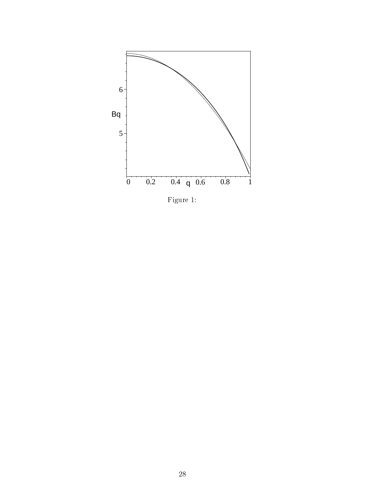

Figure 1: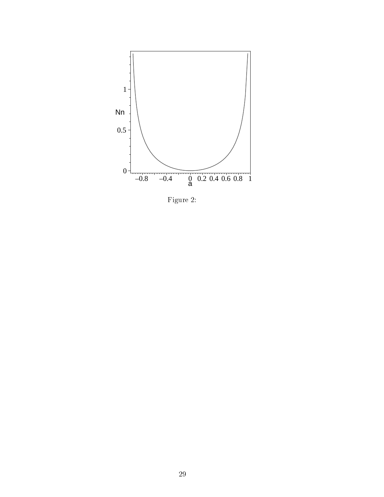

Figure 2: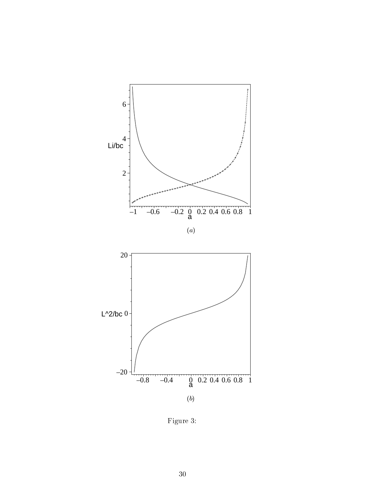

Figure 3: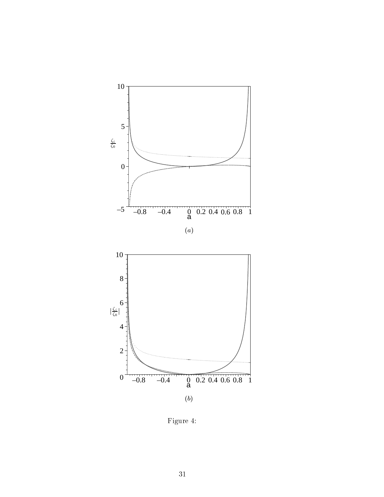

Figure 4: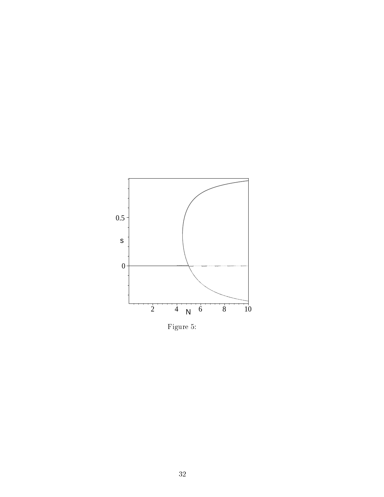

Figure 5: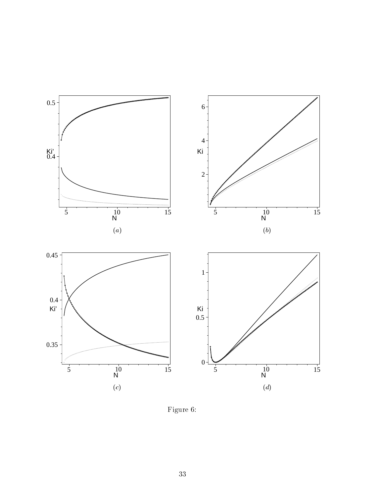

Figure 6: